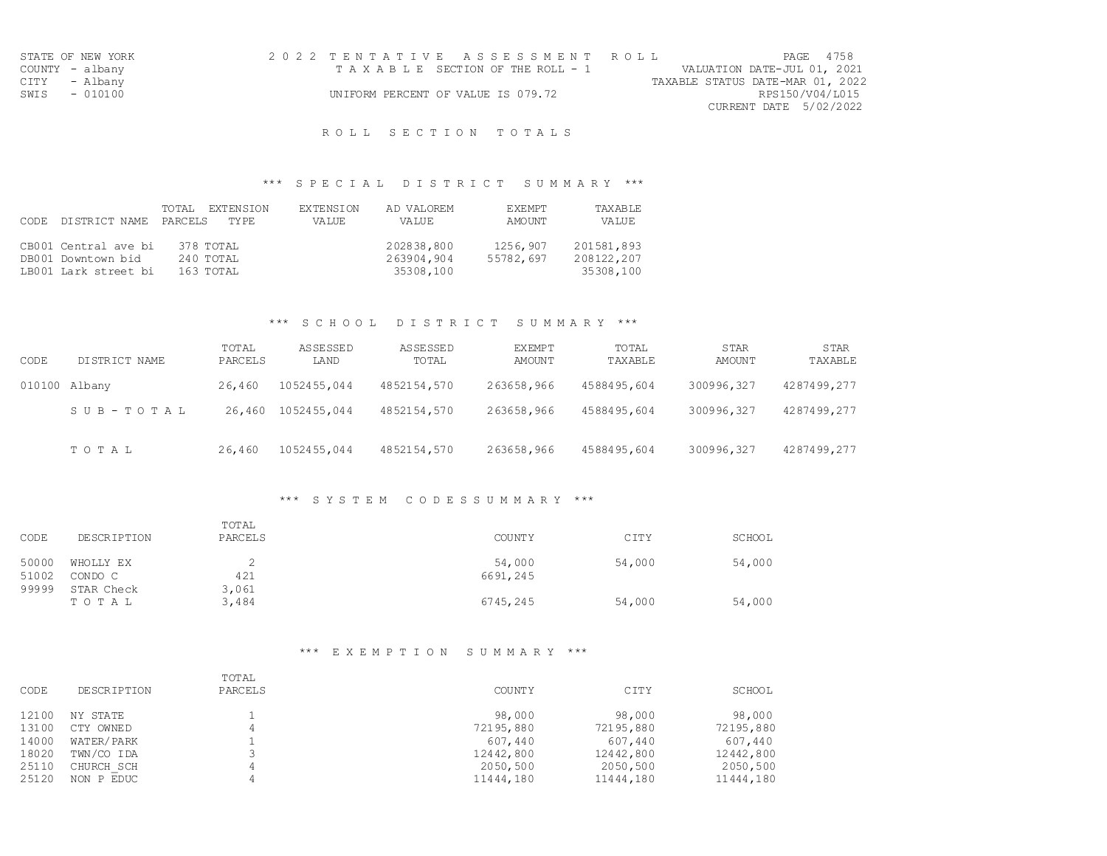| STATE OF NEW YORK | 2022 TENTATIVE ASSESSMENT ROLL     | PAGE 4758                        |
|-------------------|------------------------------------|----------------------------------|
| COUNTY - albany   | TAXABLE SECTION OF THE ROLL - 1    | VALUATION DATE-JUL 01, 2021      |
| CITY - Albany     |                                    | TAXABLE STATUS DATE-MAR 01, 2022 |
| SWIS - 010100     | UNIFORM PERCENT OF VALUE IS 079.72 | RPS150/V04/L015                  |
|                   |                                    | CURRENT DATE 5/02/2022           |

R O L L S E C T I O N T O T A L S

## \*\*\* S P E C I A L D I S T R I C T S U M M A R Y \*\*\*

|      |                       | EXTENSION<br>TOTAL | <b>EXTENSION</b> | AD VALOREM | <b>EXEMPT</b> | TAXABLE    |
|------|-----------------------|--------------------|------------------|------------|---------------|------------|
| CODE | DISTRICT NAME PARCELS | TY PE.             | VALUE            | VALUE      | AMOUNT        | VALUE      |
|      |                       |                    |                  |            |               |            |
|      | CB001 Central ave bi  | 378 TOTAL          |                  | 202838,800 | 1256,907      | 201581,893 |
|      | DB001 Downtown bid    | $240$ TOTAL        |                  | 263904,904 | 55782,697     | 208122,207 |
|      | LB001 Lark street bi  | 163 TOTAL          |                  | 35308,100  |               | 35308,100  |

### \*\*\* S C H O O L D I S T R I C T S U M M A R Y \*\*\*

| CODE          | DISTRICT NAME | TOTAL<br>PARCELS | ASSESSED<br>LAND | ASSESSED<br>TOTAL | EXEMPT<br>AMOUNT | TOTAL<br>TAXABLE | <b>STAR</b><br><b>AMOUNT</b> | <b>STAR</b><br>TAXABLE |
|---------------|---------------|------------------|------------------|-------------------|------------------|------------------|------------------------------|------------------------|
| 010100 Albany |               | 26,460           | 1052455,044      | 4852154,570       | 263658,966       | 4588495,604      | 300996,327                   | 4287499,277            |
|               | SUB-TOTAL     | 26,460           | 1052455,044      | 4852154,570       | 263658,966       | 4588495,604      | 300996,327                   | 4287499,277            |
|               | TOTAL         | 26,460           | 1052455,044      | 4852154,570       | 263658,966       | 4588495,604      | 300996,327                   | 4287499,277            |

### \*\*\* S Y S T E M C O D E S S U M M A R Y \*\*\*

| CODE           | DESCRIPTION          | TOTAL<br>PARCELS | COUNTY             | CITY   | SCHOOL |
|----------------|----------------------|------------------|--------------------|--------|--------|
| 50000<br>51002 | WHOLLY EX<br>CONDO C | 421              | 54,000<br>6691,245 | 54,000 | 54,000 |
| 99999          | STAR Check<br>TOTAL  | 3,061<br>3,484   | 6745,245           | 54,000 | 54,000 |

### \*\*\* E X E M P T I O N S U M M A R Y \*\*\*

| CODE  | <b>DESCRIPTION</b> | TOTAL<br>PARCELS | <b>COUNTY</b> | CITY      | SCHOOL    |
|-------|--------------------|------------------|---------------|-----------|-----------|
| 12100 | NY STATE           |                  | 98,000        | 98,000    | 98,000    |
| 13100 | CTY OWNED          | 4                | 72195,880     | 72195,880 | 72195,880 |
| 14000 | WATER/PARK         |                  | 607,440       | 607,440   | 607,440   |
| 18020 | TWN/CO IDA         |                  | 12442,800     | 12442,800 | 12442,800 |
| 25110 | CHURCH SCH         | 4                | 2050,500      | 2050,500  | 2050,500  |
| 25120 | NON P EDUC         | 4                | 11444,180     | 11444,180 | 11444,180 |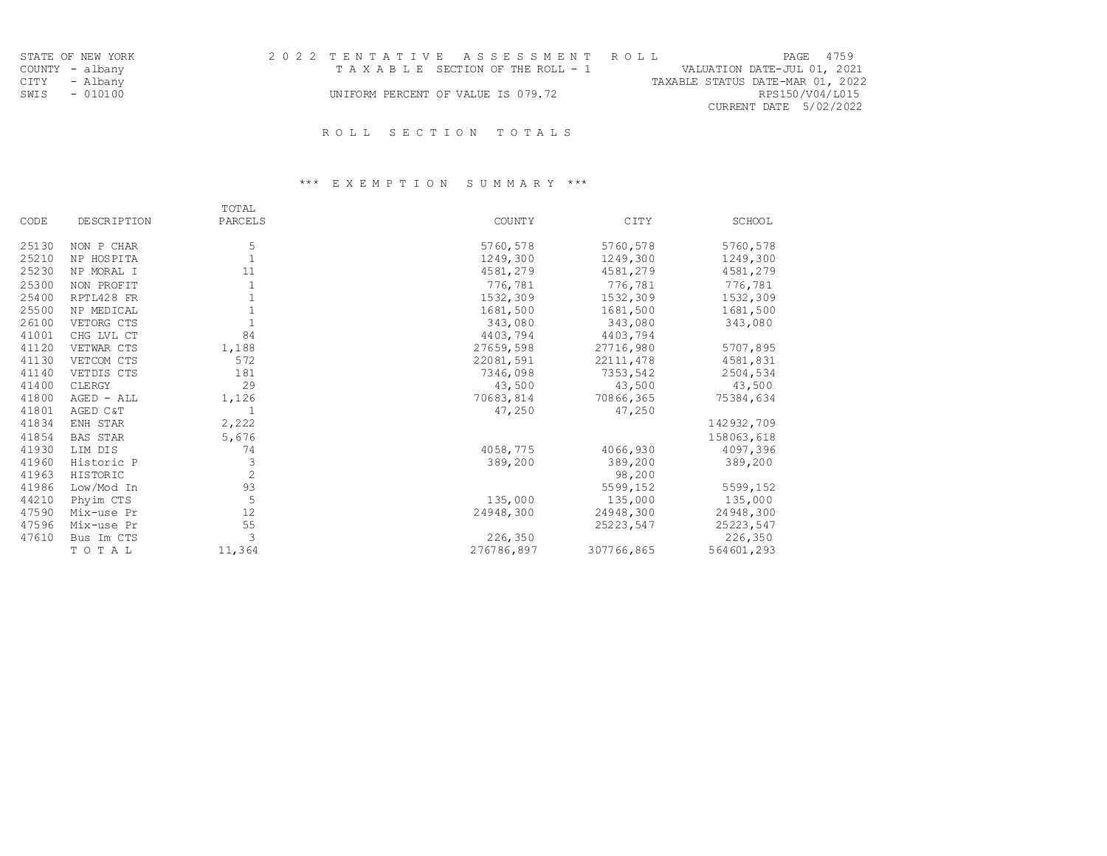| STATE OF NEW YORK | 2022 TENTATIVE ASSESSMENT ROLL     | PAGE 4759                        |
|-------------------|------------------------------------|----------------------------------|
| COUNTY - albany   | TAXABLE SECTION OF THE ROLL - 1    | VALUATION DATE-JUL 01, 2021      |
| CITY - Albany     |                                    | TAXABLE STATUS DATE-MAR 01, 2022 |
| SWIS - 010100     | UNIFORM PERCENT OF VALUE IS 079.72 | RPS150/V04/L015                  |
|                   |                                    | CURRENT DATE 5/02/2022           |
|                   |                                    |                                  |

## \*\*\* E X E M P T I O N S U M M A R Y \*\*\*

|       |                    | TOTAL          |            |            |            |
|-------|--------------------|----------------|------------|------------|------------|
| CODE  | <b>DESCRIPTION</b> | PARCELS        | COUNTY     | CITY       | SCHOOL     |
| 25130 | NON P CHAR         | 5              | 5760, 578  | 5760,578   | 5760,578   |
| 25210 | NP HOSPITA         |                | 1249,300   | 1249,300   | 1249,300   |
| 25230 | NP MORAL I         | 11             | 4581,279   | 4581,279   | 4581,279   |
| 25300 | NON PROFIT         |                | 776,781    | 776,781    | 776,781    |
| 25400 | RPTL428 FR         |                | 1532,309   | 1532,309   | 1532,309   |
| 25500 | NP MEDICAL         |                | 1681,500   | 1681,500   | 1681,500   |
| 26100 | VETORG CTS         |                | 343,080    | 343,080    | 343,080    |
| 41001 | CHG LVL CT         | 84             | 4403,794   | 4403,794   |            |
| 41120 | VETWAR CTS         | 1,188          | 27659,598  | 27716,980  | 5707,895   |
| 41130 | VETCOM CTS         | 572            | 22081,591  | 22111,478  | 4581,831   |
| 41140 | VETDIS CTS         | 181            | 7346,098   | 7353,542   | 2504,534   |
| 41400 | CLERGY             | 29             | 43,500     | 43,500     | 43,500     |
| 41800 | AGED - ALL         | 1,126          | 70683,814  | 70866,365  | 75384,634  |
| 41801 | AGED C&T           |                | 47,250     | 47,250     |            |
| 41834 | ENH STAR           | 2,222          |            |            | 142932,709 |
| 41854 | <b>BAS STAR</b>    | 5,676          |            |            | 158063,618 |
| 41930 | LIM DIS            | 74             | 4058,775   | 4066,930   | 4097,396   |
| 41960 | Historic P         | 3              | 389,200    | 389,200    | 389,200    |
| 41963 | HISTORIC           | $\overline{c}$ |            | 98,200     |            |
| 41986 | Low/Mod In         | 93             |            | 5599,152   | 5599,152   |
| 44210 | Phyim CTS          | 5              | 135,000    | 135,000    | 135,000    |
| 47590 | Mix-use Pr         | 12             | 24948,300  | 24948,300  | 24948,300  |
| 47596 | Mix-use Pr         | 55             |            | 25223,547  | 25223,547  |
| 47610 | Bus Im CTS         | 3              | 226,350    |            | 226,350    |
|       | TOTAL              | 11,364         | 276786,897 | 307766,865 | 564601,293 |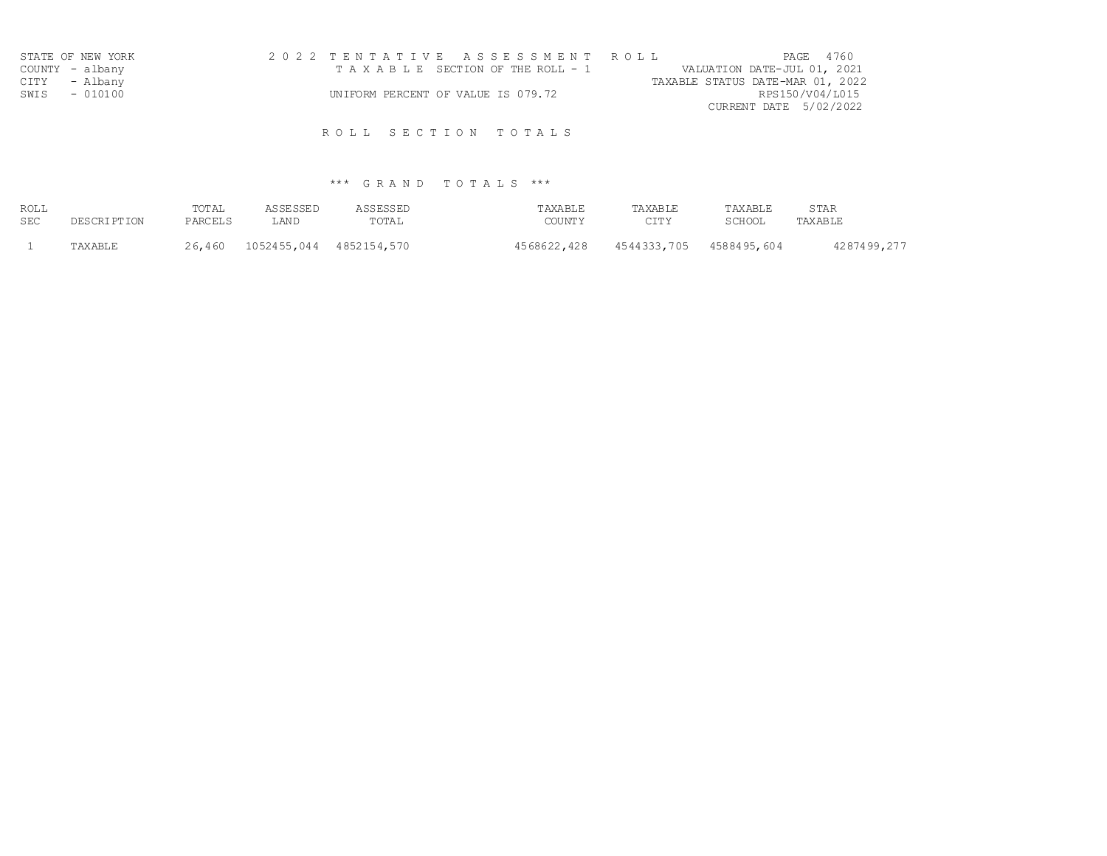| STATE OF NEW YORK | 2022 TENTATIVE ASSESSMENT ROLL     | PAGE 4760                        |
|-------------------|------------------------------------|----------------------------------|
| COUNTY - albany   | TAXABLE SECTION OF THE ROLL - 1    | VALUATION DATE-JUL 01, 2021      |
| CITY - Albany     |                                    | TAXABLE STATUS DATE-MAR 01, 2022 |
| SWIS<br>$-010100$ | UNIFORM PERCENT OF VALUE IS 079.72 | RPS150/V04/L015                  |
|                   |                                    | CURRENT DATE 5/02/2022           |
|                   |                                    |                                  |

| ROLL       | <b>DESCRIPTION</b> | TOTAL   | ASSESSED                | ASSESSED | TAXABLE       | TAXABLE     | TAXABLE     | STAR        |
|------------|--------------------|---------|-------------------------|----------|---------------|-------------|-------------|-------------|
| <b>SEC</b> |                    | PARCELS | LAND                    | TOTAL    | <b>COUNTY</b> | <b>CITY</b> | SCHOOL      | TAXABLE     |
|            | TAXABLE            | 26,460  | 1052455,044 4852154,570 |          | 4568622,428   | 4544333,705 | 4588495,604 | 4287499,277 |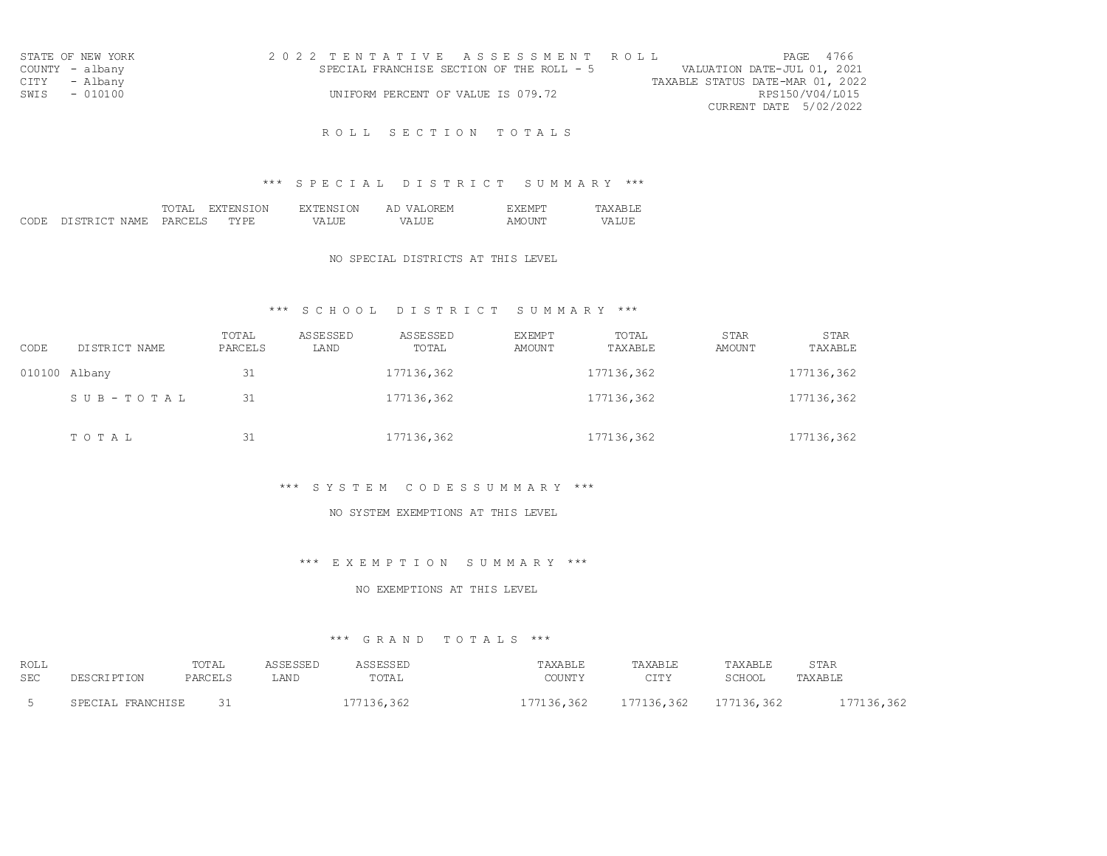| STATE OF NEW YORK | 2022 TENTATIVE ASSESSMENT ROLL            | PAGE 4766                        |
|-------------------|-------------------------------------------|----------------------------------|
| COUNTY - albany   | SPECIAL FRANCHISE SECTION OF THE ROLL - 5 | VALUATION DATE-JUL 01, 2021      |
| CITY - Albany     |                                           | TAXABLE STATUS DATE-MAR 01, 2022 |
| SWIS - 010100     | UNIFORM PERCENT OF VALUE IS 079.72        | RPS150/V04/L015                  |
|                   |                                           | CURRENT DATE 5/02/2022           |

## \*\*\* S P E C I A L D I S T R I C T S U M M A R Y \*\*\*

|      |                           | TOTAL   | TENSION<br><b>EXT!</b> | <b>EXTENSION</b> | DREM<br>Αl<br>$\cdots$ $\cdots$ | <b>EXEMPT</b> | 'AX AR I             |
|------|---------------------------|---------|------------------------|------------------|---------------------------------|---------------|----------------------|
| CODE | N AME.<br>DI STR TOT<br>. | PARCELS | " PR.<br>mv.<br>----   | /ALUE<br>VД.     | 7Δ.                             | AMOI          | ----<br>77 D<br>ALUL |

### NO SPECIAL DISTRICTS AT THIS LEVEL

## \*\*\* S C H O O L D I S T R I C T S U M M A R Y \*\*\*

| CODE | DISTRICT NAME | TOTAL<br>PARCELS | ASSESSED<br>LAND | ASSESSED<br>TOTAL | <b>EXEMPT</b><br>AMOUNT | TOTAL<br>TAXABLE | <b>STAR</b><br>AMOUNT | <b>STAR</b><br>TAXABLE |
|------|---------------|------------------|------------------|-------------------|-------------------------|------------------|-----------------------|------------------------|
|      | 010100 Albany | 31               |                  | 177136,362        |                         | 177136,362       |                       | 177136,362             |
|      | SUB-TOTAL     | 31               |                  | 177136,362        |                         | 177136,362       |                       | 177136,362             |
|      | TOTAL         | 31               |                  | 177136,362        |                         | 177136,362       |                       | 177136,362             |

#### \*\*\* S Y S T E M C O D E S S U M M A R Y \*\*\*

#### NO SYSTEM EXEMPTIONS AT THIS LEVEL

### \*\*\* E X E M P T I O N S U M M A R Y \*\*\*

#### NO EXEMPTIONS AT THIS LEVEL

| ROLL<br><b>SEC</b> |                                | TOTAL<br>PARCELS | LAND | TOTAL | "AXABLE<br>COTINTU | TAXABLE<br>$C$ T <sub>m</sub> $V$<br>د ⊥⊥ب | TAXARLT.<br>SCHOOI | STAR<br>TAXABLE |
|--------------------|--------------------------------|------------------|------|-------|--------------------|--------------------------------------------|--------------------|-----------------|
|                    | <b>FPANCHICF</b><br>ת דיח הסיס |                  |      |       | 361                | 36,362                                     | ふとう                |                 |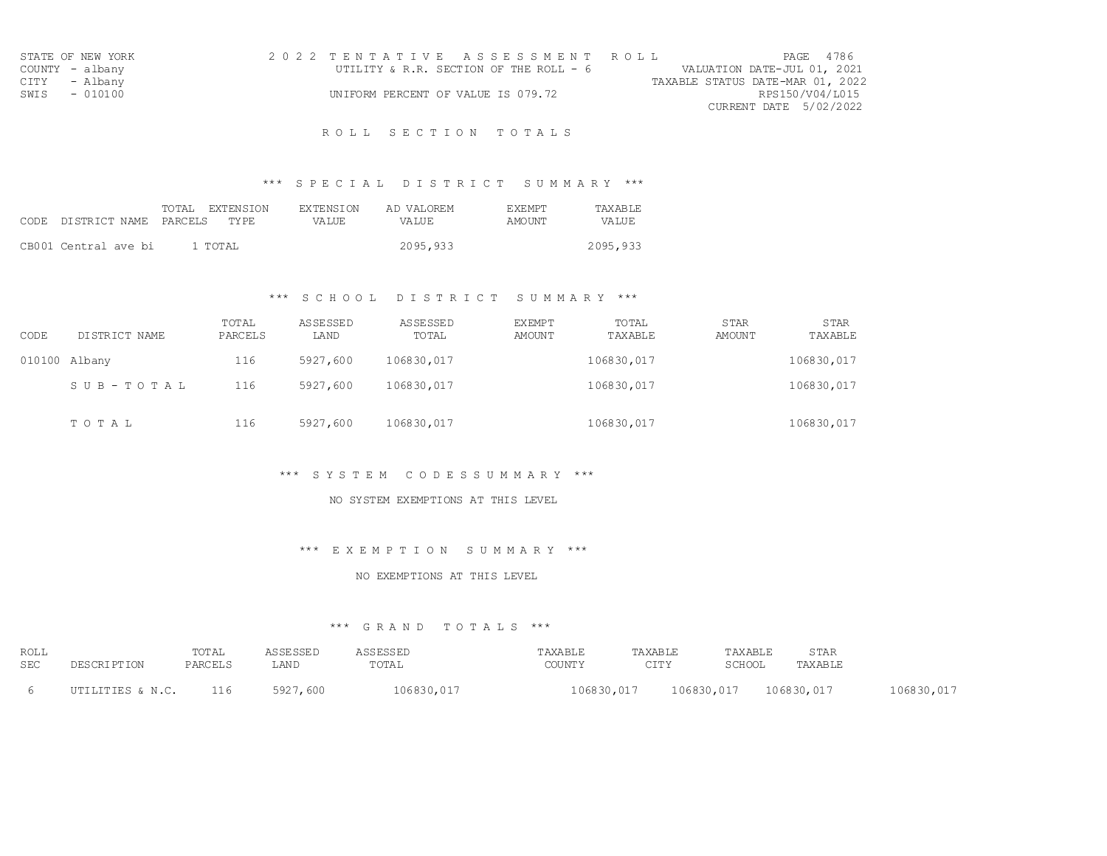| STATE OF NEW YORK | 2022 TENTATIVE ASSESSMENT ROLL         | PAGE 4786                        |
|-------------------|----------------------------------------|----------------------------------|
| COUNTY - albany   | UTILITY & R.R. SECTION OF THE ROLL - 6 | VALUATION DATE-JUL 01, 2021      |
| CITY - Albany     |                                        | TAXABLE STATUS DATE-MAR 01, 2022 |
| SWIS - 010100     | UNIFORM PERCENT OF VALUE IS 079.72     | RPS150/V04/L015                  |
|                   |                                        | CURRENT DATE 5/02/2022           |

## \*\*\* S P E C I A L D I S T R I C T S U M M A R Y \*\*\*

|                            | TOTAL.  | EXTENSION<br><b>EXTENSION</b> | AD VALOREM | <b>EXEMPT</b> | TAXARIE  |
|----------------------------|---------|-------------------------------|------------|---------------|----------|
| CODE DISTRICT NAME PARCELS |         | TY PF.<br>VA LUE.             | VALUE      | AMOUNT        | VALUE    |
|                            |         |                               |            |               |          |
| CB001 Central ave bi       | 1 TOTAL |                               | 2095,933   |               | 2095,933 |

## \*\*\* S C H O O L D I S T R I C T S U M M A R Y \*\*\*

| CODE | DISTRICT NAME | TOTAL<br>PARCELS | ASSESSED<br>LAND | ASSESSED<br>TOTAL | <b>EXEMPT</b><br><b>AMOUNT</b> | TOTAL<br>TAXABLE | <b>STAR</b><br>AMOUNT | <b>STAR</b><br>TAXABLE |
|------|---------------|------------------|------------------|-------------------|--------------------------------|------------------|-----------------------|------------------------|
|      | 010100 Albany | 116              | 5927,600         | 106830,017        |                                | 106830,017       |                       | 106830,017             |
|      | SUB-TOTAL     | 116              | 5927,600         | 106830,017        |                                | 106830,017       |                       | 106830,017             |
|      | TOTAL         | 116              | 5927,600         | 106830,017        |                                | 106830,017       |                       | 106830,017             |

### \*\*\* S Y S T E M C O D E S S U M M A R Y \*\*\*

## NO SYSTEM EXEMPTIONS AT THIS LEVEL

#### \*\*\* E X E M P T I O N S U M M A R Y \*\*\*

#### NO EXEMPTIONS AT THIS LEVEL

| ROLL |                    | TOTAL   | ASSESSED | ASSESSED   | TAXABLE       | TAXABLE     | TAXABLE                | STAR    |            |
|------|--------------------|---------|----------|------------|---------------|-------------|------------------------|---------|------------|
| SEC  | <b>DESCRIPTION</b> | PARCELS | LAND     | TOTAL      | <b>COUNTY</b> | <b>CTTY</b> | SCHOOL                 | TAXABLE |            |
|      | UTILITIES & N.C.   | 116     | 5927,600 | 106830,017 |               | 106830,017  | 106830,017  106830,017 |         | 106830,017 |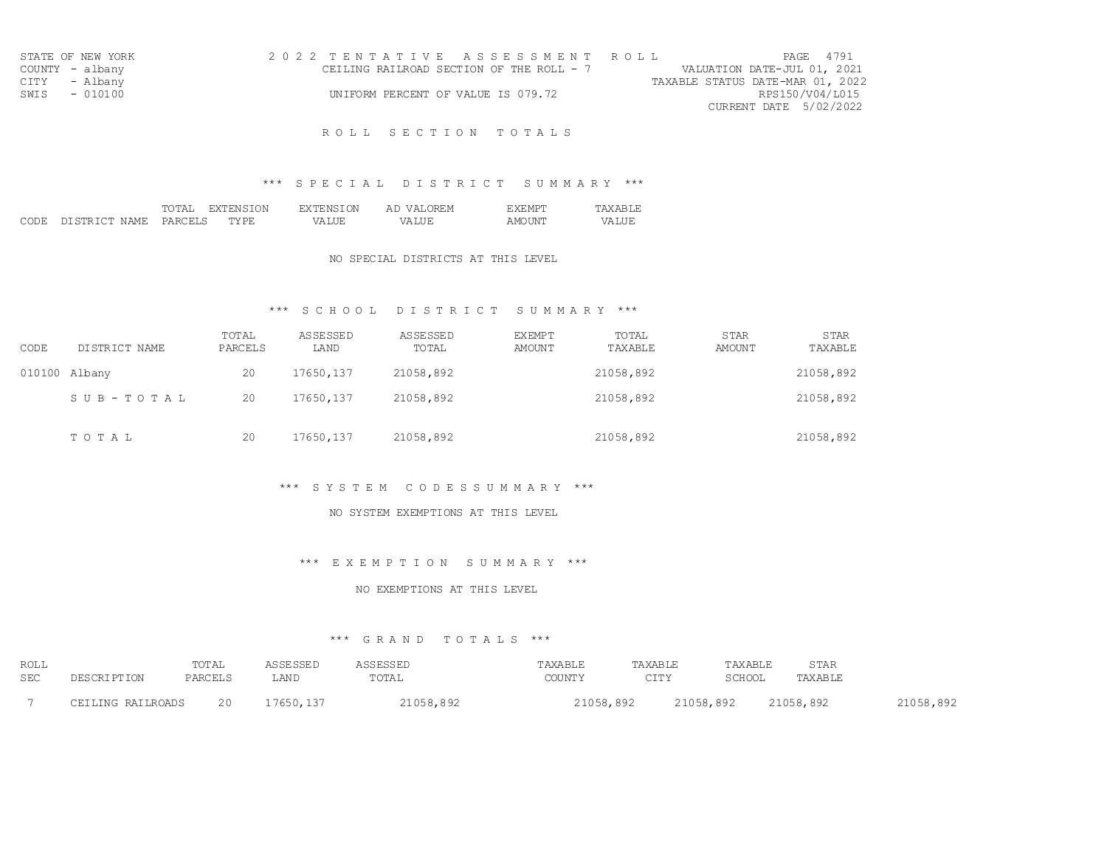| STATE OF NEW YORK | 2022 TENTATIVE ASSESSMENT ROLL           | <b>PAGE 4791</b>                 |
|-------------------|------------------------------------------|----------------------------------|
| COUNTY - albany   | CEILING RAILROAD SECTION OF THE ROLL - 7 | VALUATION DATE-JUL 01, 2021      |
| CITY - Albany     |                                          | TAXABLE STATUS DATE-MAR 01, 2022 |
| SWIS - 010100     | UNIFORM PERCENT OF VALUE IS 079.72       | RPS150/V04/L015                  |
|                   |                                          | CURRENT DATE 5/02/2022           |
|                   |                                          |                                  |

## \*\*\* S P E C I A L D I S T R I C T S U M M A R Y \*\*\*

|      |                                 | TOTAL   | ION<br>EXT.<br>'ENST          | <b>EXTENSION</b> | 7REM<br>$\sqrt{2}$<br>$\overline{A}$ I | EXEMPT        | TAXAR          |
|------|---------------------------------|---------|-------------------------------|------------------|----------------------------------------|---------------|----------------|
| CODE | N AME.<br>DI STR TOT.<br>,,,,,, | PARCELS | <b>MY DE</b><br>⊢ ∟ ⊢<br>---- | ALUE<br>7∆       | ----<br>77 D                           | 7UN'i<br>A Mi | 17A 1<br>_____ |

## NO SPECIAL DISTRICTS AT THIS LEVEL

## \*\*\* S C H O O L D I S T R I C T S U M M A R Y \*\*\*

| CODE | DISTRICT NAME | TOTAL<br>PARCELS | ASSESSED<br>LAND | <b>ASSESSED</b><br>TOTAL | <b>EXEMPT</b><br>AMOUNT | TOTAL<br>TAXABLE | <b>STAR</b><br>AMOUNT | <b>STAR</b><br>TAXABLE |
|------|---------------|------------------|------------------|--------------------------|-------------------------|------------------|-----------------------|------------------------|
|      | 010100 Albany | 20               | 17650,137        | 21058,892                |                         | 21058,892        |                       | 21058,892              |
|      | SUB-TOTAL     | 20               | 17650,137        | 21058,892                |                         | 21058,892        |                       | 21058,892              |
|      | TOTAL         | 20               | 17650,137        | 21058,892                |                         | 21058,892        |                       | 21058,892              |

#### \*\*\* S Y S T E M C O D E S S U M M A R Y \*\*\*

#### NO SYSTEM EXEMPTIONS AT THIS LEVEL

### \*\*\* E X E M P T I O N S U M M A R Y \*\*\*

#### NO EXEMPTIONS AT THIS LEVEL

| ROLL |                   | TOTAL   | <b>ASSESSED</b> | ASSESSED  | TAXABLE   | TAXABLE | TAXABLE   | STAR      |           |
|------|-------------------|---------|-----------------|-----------|-----------|---------|-----------|-----------|-----------|
| SEC  | DESCRIPTION       | PARCELS | LAND            | TOTAL     | COUNTY    | CTTY    | SCHOOL    | TAXABLE   |           |
|      | CEILING RAILROADS | 20      | 17650, 137      | 21058,892 | 21058,892 |         | 21058,892 | 21058,892 | 21058,892 |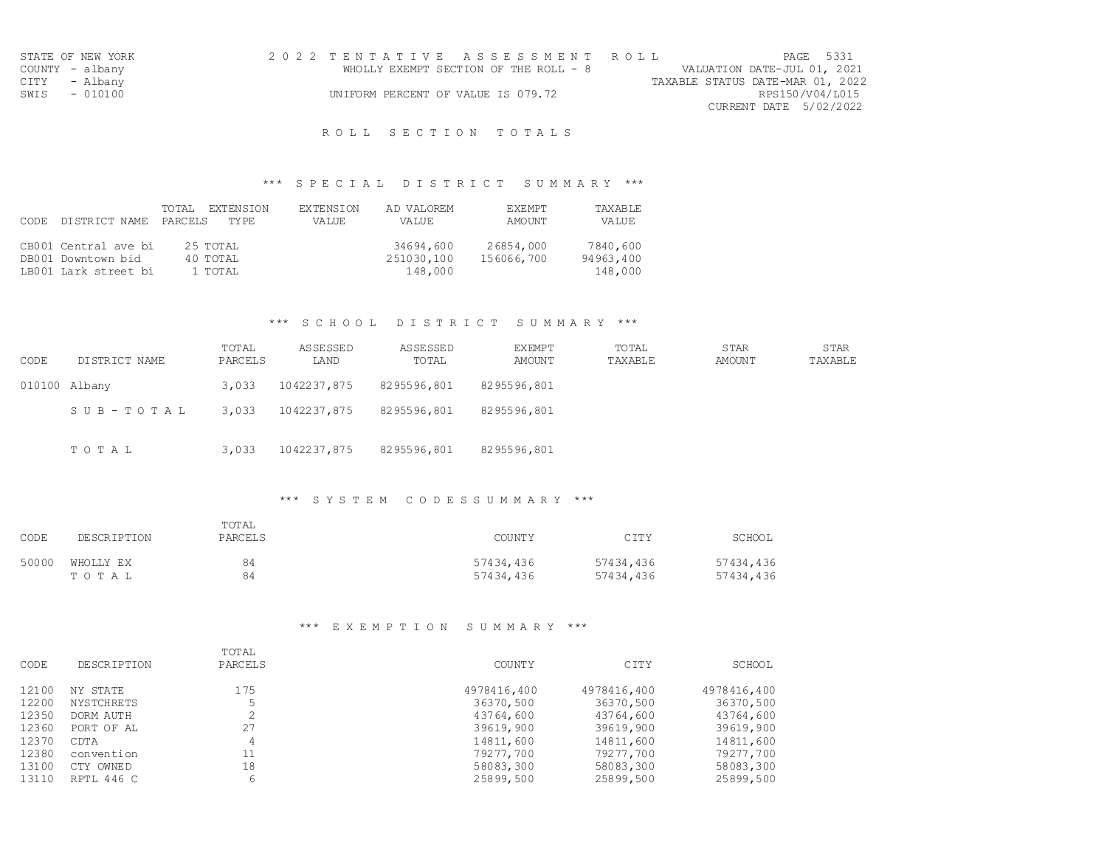| STATE OF NEW YORK | 2022 TENTATIVE ASSESSMENT ROLL        |                                  | PAGE 5331                   |
|-------------------|---------------------------------------|----------------------------------|-----------------------------|
| COUNTY - albany   | WHOLLY EXEMPT SECTION OF THE ROLL - 8 |                                  | VALUATION DATE-JUL 01, 2021 |
| CITY - Albany     |                                       | TAXABLE STATUS DATE-MAR 01, 2022 |                             |
| SWIS - 010100     | UNIFORM PERCENT OF VALUE IS 079.72    |                                  | RPS150/V04/L015             |
|                   |                                       |                                  | CURRENT DATE 5/02/2022      |

## \*\*\* S P E C I A L D I S T R I C T S U M M A R Y \*\*\*

|       |                      | TOTAL.<br>EXTENSION | <b>EXTENSION</b> | AD VALOREM | <b>EXEMPT</b> | TAXABLE   |
|-------|----------------------|---------------------|------------------|------------|---------------|-----------|
| CODE. | DISTRICT NAME        | PARCELS<br>TY PF.   | VA LUE.          | VALUE      | AMOUNT        | VALUE     |
|       |                      |                     |                  |            |               |           |
|       | CB001 Central ave bi | 25 TOTAL            |                  | 34694,600  | 26854,000     | 7840,600  |
|       | DB001 Downtown bid   | 40 TOTAL            |                  | 251030,100 | 156066,700    | 94963,400 |
|       | LB001 Lark street bi | 1 TOTAL             |                  | 148,000    |               | 148,000   |

### \*\*\* S C H O O L D I S T R I C T S U M M A R Y \*\*\*

| CODE | DISTRICT NAME | TOTAL<br>PARCELS | ASSESSED<br>LAND | ASSESSED<br>TOTAL | EXEMPT<br>AMOUNT | TOTAL<br>TAXABLE | <b>STAR</b><br>AMOUNT | <b>STAR</b><br>TAXABLE |
|------|---------------|------------------|------------------|-------------------|------------------|------------------|-----------------------|------------------------|
|      | 010100 Albany | 3,033            | 1042237,875      | 8295596,801       | 8295596,801      |                  |                       |                        |
|      | SUB-TOTAL     | 3,033            | 1042237,875      | 8295596,801       | 8295596,801      |                  |                       |                        |
|      | TOTAL         | 3,033            | 1042237,875      | 8295596,801       | 8295596,801      |                  |                       |                        |

## \*\*\* S Y S T E M C O D E S S U M M A R Y \*\*\*

| CODE  | DESCRIPTION | TOTAL<br>PARCELS | COUNTY    | CITY      | SCHOOL    |
|-------|-------------|------------------|-----------|-----------|-----------|
| 50000 | WHOLLY EX   | 84               | 57434,436 | 57434,436 | 57434,436 |
|       | TOTAL       | 84               | 57434,436 | 57434,436 | 57434,436 |

### \*\*\* E X E M P T I O N S U M M A R Y \*\*\*

| CODE  | <b>DESCRIPTION</b> | TOTAL<br>PARCELS | <b>COUNTY</b> | CITY        | SCHOOL      |
|-------|--------------------|------------------|---------------|-------------|-------------|
|       |                    |                  |               |             |             |
| 12100 | NY STATE           | 175              | 4978416,400   | 4978416,400 | 4978416,400 |
| 12200 | <b>NYSTCHRETS</b>  |                  | 36370,500     | 36370,500   | 36370,500   |
| 12350 | DORM AUTH          |                  | 43764,600     | 43764,600   | 43764,600   |
| 12360 | PORT OF AL         | 27               | 39619,900     | 39619,900   | 39619,900   |
| 12370 | CDTA               | 4                | 14811,600     | 14811,600   | 14811,600   |
| 12380 | convention         | 11               | 79277,700     | 79277,700   | 79277,700   |
| 13100 | OWNED<br>C TY      | 18               | 58083,300     | 58083,300   | 58083,300   |
| 13110 | RPTL 446 C         | 6                | 25899,500     | 25899,500   | 25899,500   |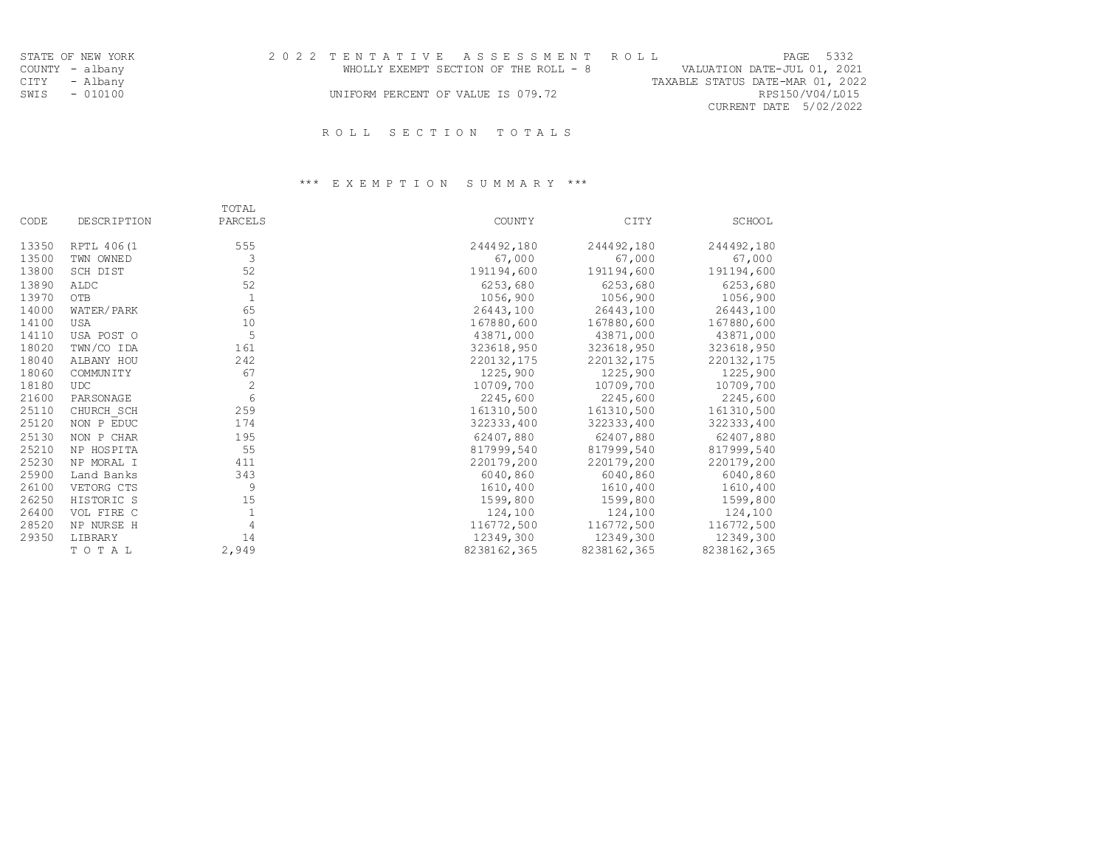| STATE OF NEW YORK | 2022 TENTATIVE ASSESSMENT ROLL        | PAGE 5332                        |
|-------------------|---------------------------------------|----------------------------------|
| COUNTY - albany   | WHOLLY EXEMPT SECTION OF THE ROLL - 8 | VALUATION DATE-JUL 01, 2021      |
| CITY - Albany     |                                       | TAXABLE STATUS DATE-MAR 01, 2022 |
| SWIS - 010100     | UNIFORM PERCENT OF VALUE IS 079.72    | RPS150/V04/L015                  |
|                   |                                       | CURRENT DATE 5/02/2022           |
|                   |                                       |                                  |

## \*\*\* E X E M P T I O N S U M M A R Y \*\*\*

|       |                    | TOTAL        |               |             |               |
|-------|--------------------|--------------|---------------|-------------|---------------|
| CODE  | <b>DESCRIPTION</b> | PARCELS      | <b>COUNTY</b> | CITY        | <b>SCHOOL</b> |
| 13350 | RPTL 406(1         | 555          | 244492,180    | 244492,180  | 244492,180    |
| 13500 | TWN OWNED          | 3            | 67,000        | 67,000      | 67,000        |
| 13800 | SCH DIST           | 52           | 191194,600    | 191194,600  | 191194,600    |
| 13890 | ALDC               | 52           | 6253,680      | 6253,680    | 6253,680      |
| 13970 | OTB                | $\mathbf{1}$ | 1056,900      | 1056,900    | 1056,900      |
| 14000 | WATER/PARK         | 65           | 26443,100     | 26443,100   | 26443,100     |
| 14100 | USA                | 10           | 167880,600    | 167880,600  | 167880,600    |
| 14110 | USA POST O         | 5            | 43871,000     | 43871,000   | 43871,000     |
| 18020 | TWN/CO IDA         | 161          | 323618,950    | 323618,950  | 323618,950    |
| 18040 | ALBANY HOU         | 242          | 220132,175    | 220132,175  | 220132,175    |
| 18060 | <b>COMMUNITY</b>   | 67           | 1225,900      | 1225,900    | 1225,900      |
| 18180 | <b>UDC</b>         | $\mathbf{2}$ | 10709,700     | 10709,700   | 10709,700     |
| 21600 | PARSONAGE          | 6            | 2245,600      | 2245,600    | 2245,600      |
| 25110 | CHURCH SCH         | 259          | 161310,500    | 161310,500  | 161310,500    |
| 25120 | NON P EDUC         | 174          | 322333,400    | 322333,400  | 322333,400    |
| 25130 | NON P CHAR         | 195          | 62407,880     | 62407,880   | 62407,880     |
| 25210 | NP HOSPITA         | 55           | 817999,540    | 817999,540  | 817999,540    |
| 25230 | NP MORAL I         | 411          | 220179,200    | 220179,200  | 220179,200    |
| 25900 | Land Banks         | 343          | 6040,860      | 6040,860    | 6040,860      |
| 26100 | VETORG CTS         | 9            | 1610, 400     | 1610,400    | 1610,400      |
| 26250 | HISTORIC S         | 15           | 1599,800      | 1599,800    | 1599,800      |
| 26400 | VOL FIRE C         | 1            | 124,100       | 124,100     | 124,100       |
| 28520 | NP NURSE H         | 4            | 116772,500    | 116772,500  | 116772,500    |
| 29350 | LIBRARY            | 14           | 12349,300     | 12349,300   | 12349,300     |
|       | TOTAL              | 2,949        | 8238162,365   | 8238162,365 | 8238162,365   |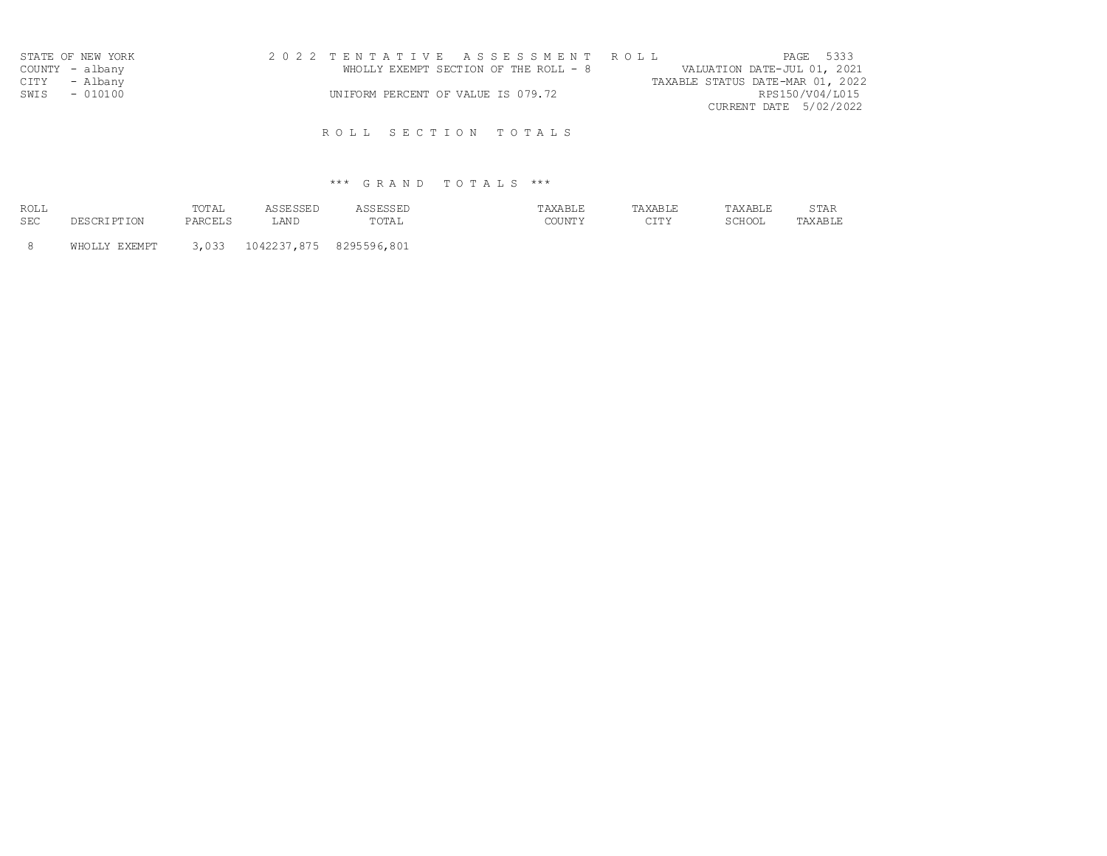| STATE OF NEW YORK | 2022 TENTATIVE ASSESSMENT ROLL                                       |                        | PAGE 5333 |
|-------------------|----------------------------------------------------------------------|------------------------|-----------|
| COUNTY - albany   | WHOLLY EXEMPT SECTION OF THE ROLL - 8<br>VALUATION DATE-JUL 01, 2021 |                        |           |
| CITY - Albany     | TAXABLE STATUS DATE-MAR 01, 2022                                     |                        |           |
| SWIS - 010100     | UNIFORM PERCENT OF VALUE IS 079.72                                   | RPS150/V04/L015        |           |
|                   |                                                                      | CURRENT DATE 5/02/2022 |           |
|                   |                                                                      |                        |           |

# \*\*\* G R A N D T O T A L S \*\*\*

| ROLL |          | $m \wedge m$<br>l'ut'Ali |   |                    |                   | . |
|------|----------|--------------------------|---|--------------------|-------------------|---|
| SEC  | . e 11 . | PAR                      | . | $m \wedge n$<br>'Δ | $\cap$ T $\sqcap$ |   |

8 WHOLLY EXEMPT 3,033 1042237,875 8295596,801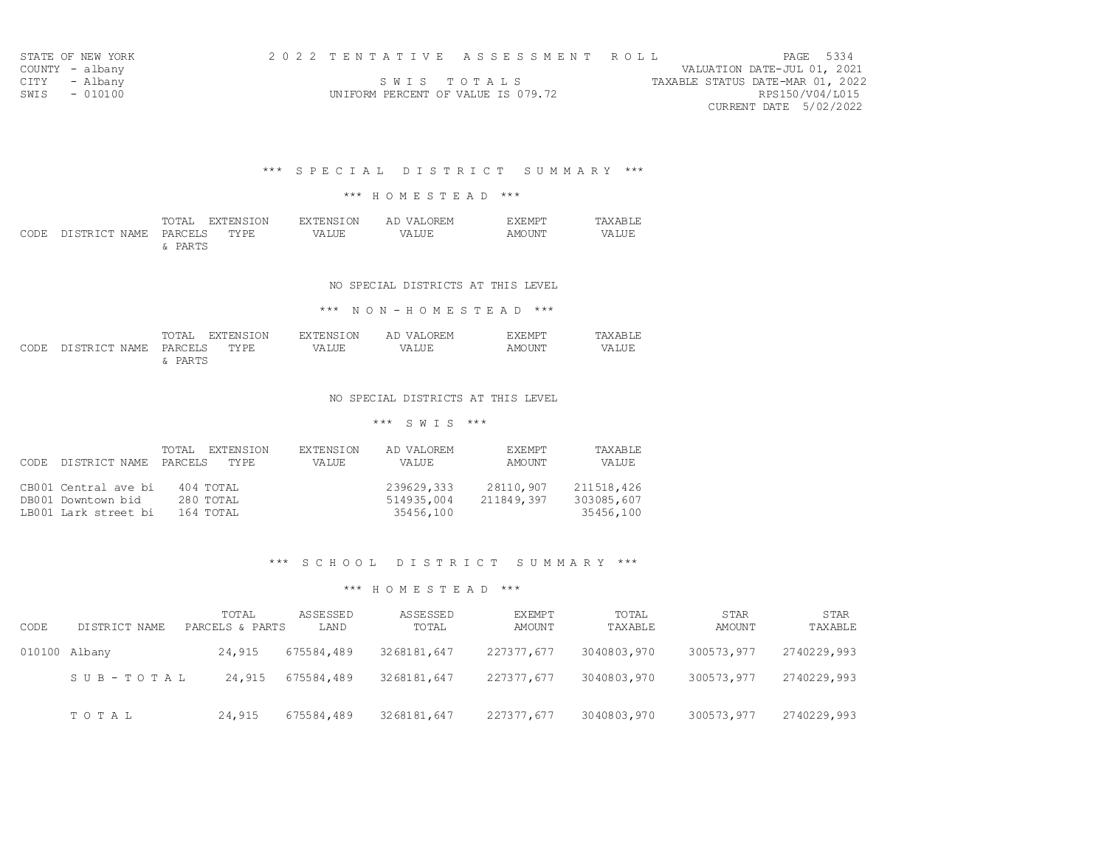| STATE OF NEW YORK | 2022 TENTATIVE ASSESSMENT ROLL     | PAGE 5334                        |
|-------------------|------------------------------------|----------------------------------|
| COUNTY - albany   |                                    | VALUATION DATE-JUL 01, 2021      |
| CITY - Albany     | SWIS TOTALS                        | TAXABLE STATUS DATE-MAR 01, 2022 |
| SWIS - 010100     | UNIFORM PERCENT OF VALUE IS 079.72 | RPS150/V04/L015                  |
|                   |                                    | CURRENT DATE 5/02/2022           |

### \*\*\* S P E C I A L D I S T R I C T S U M M A R Y \*\*\*

### \*\*\* H O M E S T E A D \*\*\*

|                                 |         | TOTAL EXTENSION |       | EXTENSION AD VALOREM | <b>EXEMPT</b> | TAXABLE |
|---------------------------------|---------|-----------------|-------|----------------------|---------------|---------|
| CODE DISTRICT NAME PARCELS TYPE |         |                 | VALUE | VALUE                | AMOUNT        | VALUE   |
|                                 | & PARTS |                 |       |                      |               |         |

#### NO SPECIAL DISTRICTS AT THIS LEVEL

### \*\*\* N O N - H O M E S T E A D \*\*\*

|  |                                 | TOTAL EXTENSION | EXTENSION | AD VALOREM | EXEMPT | TAXABLE |       |
|--|---------------------------------|-----------------|-----------|------------|--------|---------|-------|
|  | CODE DISTRICT NAME PARCELS TYPE |                 |           | VALUE      | VALUE  | AMOUNT  | VALUE |
|  |                                 | : PARTS         |           |            |        |         |       |

### NO SPECIAL DISTRICTS AT THIS LEVEL

### \*\*\* S W I S \*\*\*

| CODE. | DISTRICT NAME        | <b>EXTENSION</b><br>TOTAL<br>PARCELS<br>TY PF. | EXTENSION<br>VA LUE. | AD VALOREM<br>VALUE | <b>EXEMPT</b><br>AMOUNT | TAXABLE<br>VALUE |
|-------|----------------------|------------------------------------------------|----------------------|---------------------|-------------------------|------------------|
|       | CB001 Central ave bi | 404 TOTAL                                      |                      | 239629,333          | 28110,907               | 211518,426       |
|       | DB001 Downtown bid   | 280 TOTAL                                      |                      | 514935,004          | 211849,397              | 303085,607       |
|       | LB001 Lark street bi | 164 TOTAL                                      |                      | 35456,100           |                         | 35456,100        |

## \*\*\* S C H O O L D I S T R I C T S U M M A R Y \*\*\*

| CODE          | DISTRICT NAME | TOTAL<br>PARCELS & PARTS | <b>ASSESSED</b><br>LAND | ASSESSED<br>TOTAL | <b>EXEMPT</b><br>AMOUNT | TOTAL<br>TAXABLE | <b>STAR</b><br>AMOUNT | <b>STAR</b><br>TAXABLE |
|---------------|---------------|--------------------------|-------------------------|-------------------|-------------------------|------------------|-----------------------|------------------------|
| 010100 Albany |               | 24,915                   | 675584,489              | 3268181,647       | 227377,677              | 3040803,970      | 300573,977            | 2740229,993            |
|               | SUB-TOTAL     | 24,915                   | 675584,489              | 3268181,647       | 227377,677              | 3040803,970      | 300573,977            | 2740229,993            |
|               | TOTAL         | 24,915                   | 675584,489              | 3268181,647       | 227377,677              | 3040803,970      | 300573,977            | 2740229,993            |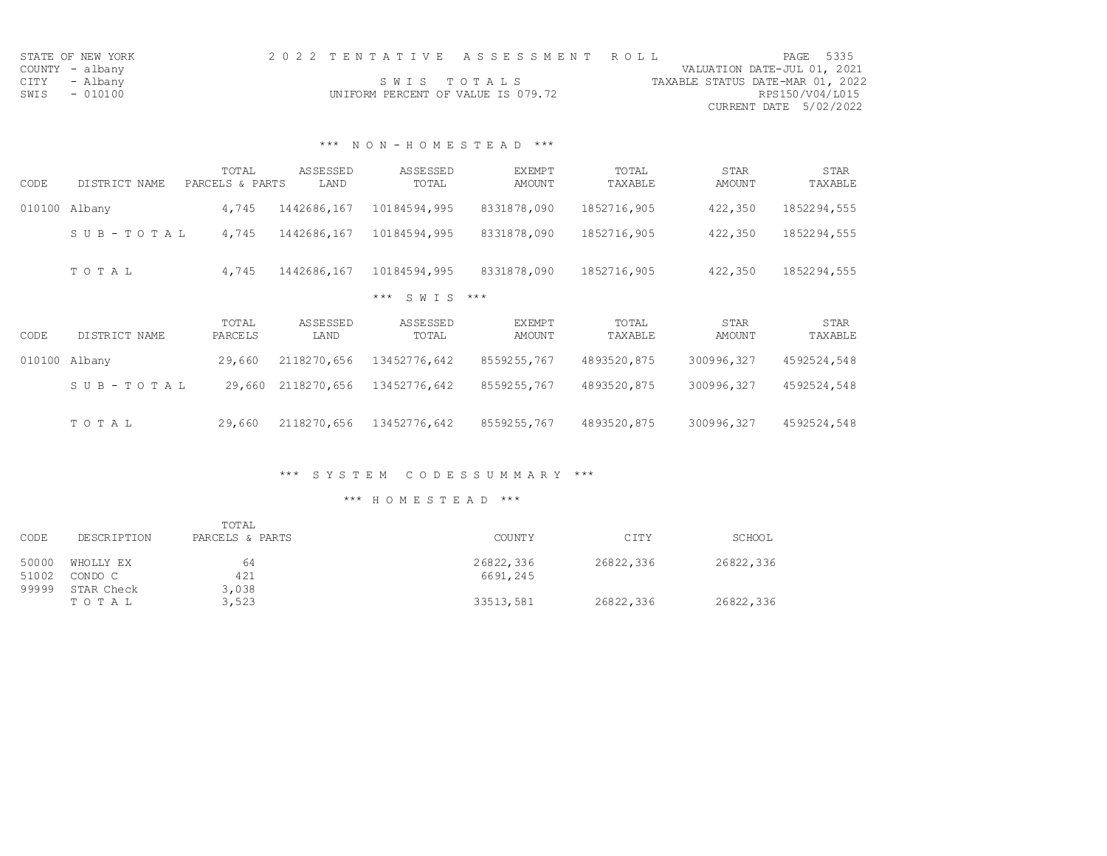| STATE OF NEW YORK | 2022 TENTATIVE ASSESSMENT ROLL |                                    |  |  |                                  |  | PAGE 5335              |
|-------------------|--------------------------------|------------------------------------|--|--|----------------------------------|--|------------------------|
| COUNTY - albany   |                                |                                    |  |  | VALUATION DATE-JUL 01, 2021      |  |                        |
| CITY - Albany     |                                | SWIS TOTALS                        |  |  | TAXABLE STATUS DATE-MAR 01, 2022 |  |                        |
| SWIS - 010100     |                                | UNIFORM PERCENT OF VALUE IS 079.72 |  |  |                                  |  | RPS150/V04/L015        |
|                   |                                |                                    |  |  |                                  |  | CURRENT DATE 5/02/2022 |

## \*\*\* N O N - H O M E S T E A D \*\*\*

| CODE   | DISTRICT NAME         | TOTAL<br>PARCELS & PARTS | ASSESSED<br>LAND | ASSESSED<br>TOTAL | <b>EXEMPT</b><br><b>AMOUNT</b> | TOTAL<br>TAXABLE | <b>STAR</b><br>AMOUNT        | <b>STAR</b><br>TAXABLE |
|--------|-----------------------|--------------------------|------------------|-------------------|--------------------------------|------------------|------------------------------|------------------------|
| 010100 | Albany                | 4,745                    | 1442686,167      | 10184594,995      | 8331878,090                    | 1852716,905      | 422,350                      | 1852294,555            |
|        | SUB-TOTAL             | 4,745                    | 1442686,167      | 10184594,995      | 8331878,090                    | 1852716,905      | 422,350                      | 1852294,555            |
|        | TOTAL                 | 4,745                    | 1442686,167      | 10184594,995      | 8331878,090                    | 1852716,905      | 422,350                      | 1852294,555            |
|        |                       |                          |                  | S W T S<br>$***$  | $***$                          |                  |                              |                        |
| CODE   | DISTRICT NAME         | TOTAL<br>PARCELS         | ASSESSED<br>LAND | ASSESSED<br>TOTAL | <b>EXEMPT</b><br><b>AMOUNT</b> | TOTAL<br>TAXABLE | <b>STAR</b><br><b>AMOUNT</b> | STAR<br>TAXABLE        |
| 010100 | Albany                | 29,660                   | 2118270,656      | 13452776,642      | 8559255,767                    | 4893520,875      | 300996,327                   | 4592524,548            |
|        | $S \cup B - TO T A L$ | 29,660                   | 2118270,656      | 13452776,642      | 8559255,767                    | 4893520,875      | 300996,327                   | 4592524,548            |
|        | TOTAL                 | 29,660                   | 2118270,656      | 13452776,642      | 8559255,767                    | 4893520,875      | 300996,327                   | 4592524,548            |

## \*\*\* S Y S T E M C O D E S S U M M A R Y \*\*\*

|                |                      | TOTAL           |                       |           |           |
|----------------|----------------------|-----------------|-----------------------|-----------|-----------|
| CODE           | DESCRIPTION          | PARCELS & PARTS | <b>COUNTY</b>         | CITY      | SCHOOL    |
| 50000<br>51002 | WHOLLY EX<br>CONDO C | 64<br>421       | 26822,336<br>6691,245 | 26822,336 | 26822,336 |
| 99999          | STAR Check<br>TOTAL  | 3,038<br>3,523  | 33513,581             | 26822,336 | 26822,336 |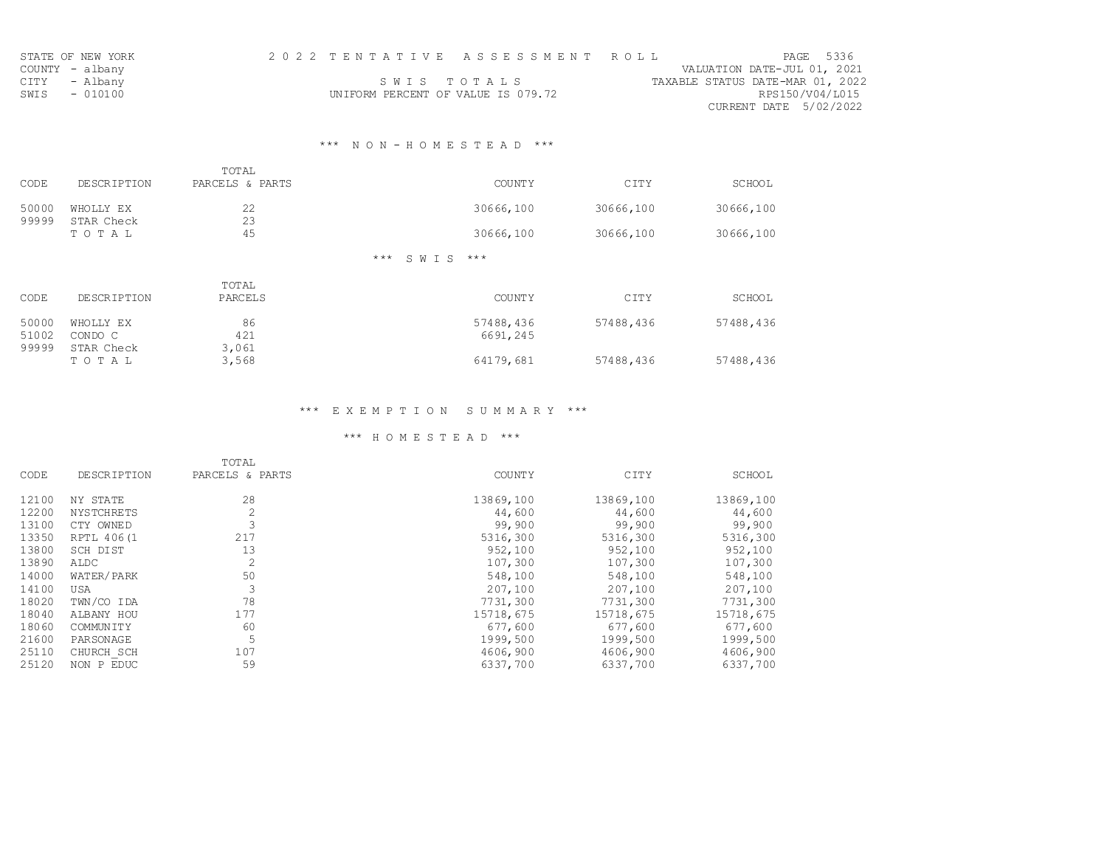| STATE OF NEW YORK | 2022 TENTATIVE ASSESSMENT ROLL     | PAGE 5336                        |
|-------------------|------------------------------------|----------------------------------|
| COUNTY - albany   |                                    | VALUATION DATE-JUL 01, 2021      |
| CITY - Albany     | SWIS TOTALS                        | TAXABLE STATUS DATE-MAR 01, 2022 |
| SWIS - 010100     | UNIFORM PERCENT OF VALUE IS 079.72 | RPS150/V04/L015                  |
|                   |                                    | CURRENT DATE 5/02/2022           |

## \*\*\* N O N - H O M E S T E A D \*\*\*

| CODE  | <b>DESCRIPTION</b> | TOTAL<br>PARCELS & PARTS | <b>COUNTY</b>               | CITY      | SCHOOL    |
|-------|--------------------|--------------------------|-----------------------------|-----------|-----------|
| 50000 | WHOLLY EX          | 22                       | 30666,100                   | 30666,100 | 30666,100 |
| 99999 | STAR Check         | 23                       |                             |           |           |
|       | TOTAL              | 45                       | 30666,100                   | 30666,100 | 30666,100 |
|       |                    |                          | $***$<br>$***$ *<br>S W T S |           |           |
|       |                    | TOTAL                    |                             |           |           |
| CODE  | <b>DESCRIPTION</b> | PARCELS                  | <b>COUNTY</b>               | CITY      | SCHOOL    |

| 50000 | WHOLLY EX  | 86    | 57488,436 | 57488,436 | 57488,436 |
|-------|------------|-------|-----------|-----------|-----------|
| 51002 | CONDO C    | 421   | 6691,245  |           |           |
| 99999 | STAR Check | 3,061 |           |           |           |
|       | T O T A L  | 3,568 | 64179,681 | 57488,436 | 57488,436 |

## \*\*\* E X E M P T I O N S U M M A R Y \*\*\*

|       |                    | TOTAL           |               |           |           |
|-------|--------------------|-----------------|---------------|-----------|-----------|
| CODE  | <b>DESCRIPTION</b> | PARCELS & PARTS | <b>COUNTY</b> | CITY      | SCHOOL    |
| 12100 | NY STATE           | 28              | 13869,100     | 13869,100 | 13869,100 |
| 12200 | <b>NYSTCHRETS</b>  | 2               | 44,600        | 44,600    | 44,600    |
| 13100 | CTY OWNED          | 3               | 99,900        | 99,900    | 99,900    |
| 13350 | RPTL 406(1         | 217             | 5316,300      | 5316,300  | 5316,300  |
| 13800 | SCH DIST           | 13              | 952,100       | 952,100   | 952,100   |
| 13890 | ALDC               | $\overline{2}$  | 107,300       | 107,300   | 107,300   |
| 14000 | WATER/PARK         | 50              | 548,100       | 548,100   | 548,100   |
| 14100 | <b>USA</b>         | 3               | 207,100       | 207,100   | 207,100   |
| 18020 | TWN/CO IDA         | 78              | 7731,300      | 7731,300  | 7731,300  |
| 18040 | ALBANY HOU         | 177             | 15718,675     | 15718,675 | 15718,675 |
| 18060 | <b>COMMUNITY</b>   | 60              | 677,600       | 677,600   | 677,600   |
| 21600 | PARSONAGE          | 5               | 1999,500      | 1999,500  | 1999,500  |
| 25110 | CHURCH SCH         | 107             | 4606,900      | 4606,900  | 4606,900  |
| 25120 | NON P EDUC         | 59              | 6337,700      | 6337,700  | 6337,700  |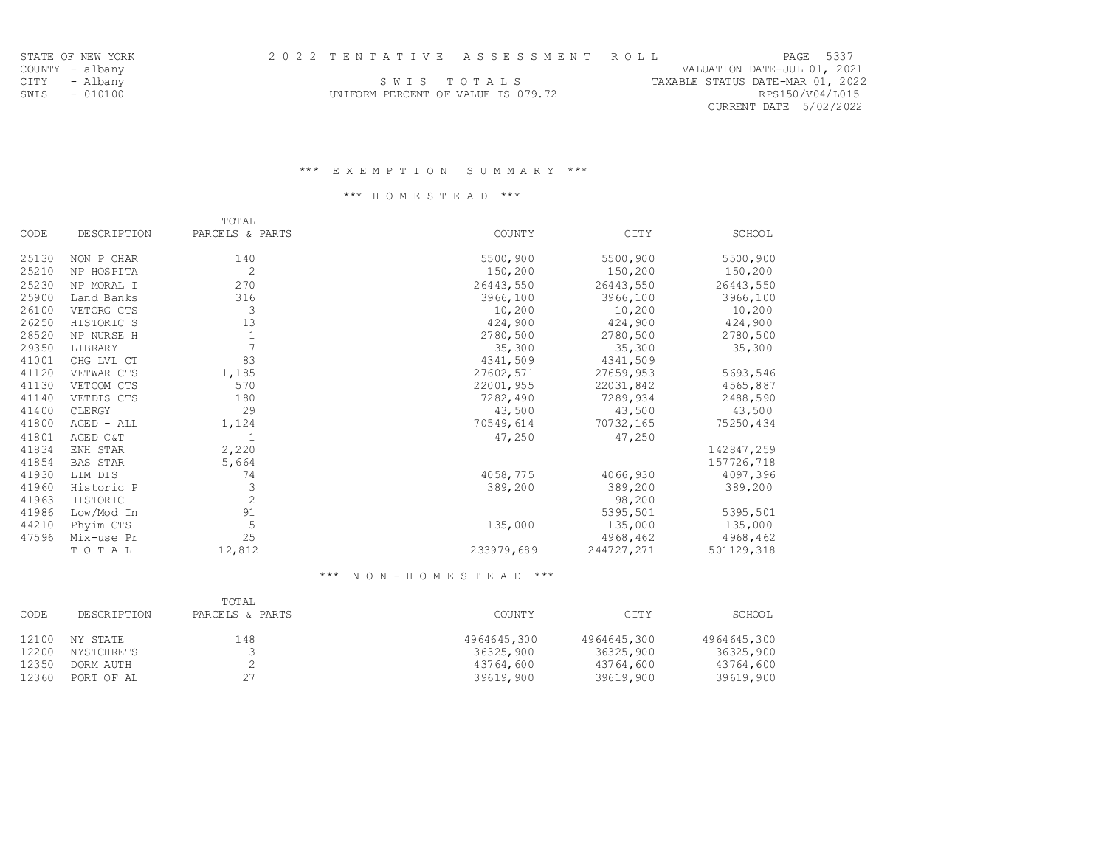| PAGE 5337                        |
|----------------------------------|
| VALUATION DATE-JUL 01, 2021      |
| TAXABLE STATUS DATE-MAR 01, 2022 |
| RPS150/V04/L015                  |
| CURRENT DATE 5/02/2022           |
|                                  |

STATE OF NEW YORK COUNTY - albany

### \*\*\* H O M E S T E A D \*\*\*

|       |             | TOTAL           |               |            |            |
|-------|-------------|-----------------|---------------|------------|------------|
| CODE  | DESCRIPTION | PARCELS & PARTS | <b>COUNTY</b> | CITY       | SCHOOL     |
| 25130 | NON P CHAR  | 140             | 5500,900      | 5500,900   | 5500,900   |
| 25210 | NP HOSPITA  | 2               | 150,200       | 150,200    | 150,200    |
| 25230 | NP MORAL I  | 270             | 26443,550     | 26443,550  | 26443,550  |
| 25900 | Land Banks  | 316             | 3966,100      | 3966,100   | 3966,100   |
| 26100 | VETORG CTS  | 3               | 10,200        | 10,200     | 10,200     |
| 26250 | HISTORIC S  | 13              | 424,900       | 424,900    | 424,900    |
| 28520 | NP NURSE H  | $\mathbf{1}$    | 2780,500      | 2780,500   | 2780,500   |
| 29350 | LIBRARY     | $\overline{7}$  | 35,300        | 35,300     | 35,300     |
| 41001 | CHG LVL CT  | 83              | 4341,509      | 4341,509   |            |
| 41120 | VETWAR CTS  | 1,185           | 27602,571     | 27659,953  | 5693,546   |
| 41130 | VETCOM CTS  | 570             | 22001,955     | 22031,842  | 4565,887   |
| 41140 | VETDIS CTS  | 180             | 7282,490      | 7289,934   | 2488,590   |
| 41400 | CLERGY      | 29              | 43,500        | 43,500     | 43,500     |
| 41800 | AGED - ALL  | 1,124           | 70549,614     | 70732,165  | 75250,434  |
| 41801 | AGED C&T    |                 | 47,250        | 47,250     |            |
| 41834 | ENH STAR    | 2,220           |               |            | 142847,259 |
| 41854 | BAS STAR    | 5,664           |               |            | 157726,718 |
| 41930 | LIM DIS     | 74              | 4058,775      | 4066,930   | 4097,396   |
| 41960 | Historic P  | 3               | 389,200       | 389,200    | 389,200    |
| 41963 | HISTORIC    | $\overline{c}$  |               | 98,200     |            |
| 41986 | Low/Mod In  | 91              |               | 5395,501   | 5395,501   |
| 44210 | Phyim CTS   | 5               | 135,000       | 135,000    | 135,000    |
| 47596 | Mix-use Pr  | 25              |               | 4968,462   | 4968,462   |
|       | TOTAL       | 12,812          | 233979,689    | 244727,271 | 501129,318 |

### \*\*\* N O N - H O M E S T E A D \*\*\*

| CODE  | <b>DESCRIPTION</b> | TOTAL<br>PARCELS & PARTS | <b>COUNTY</b> | CITY        | SCHOOL      |
|-------|--------------------|--------------------------|---------------|-------------|-------------|
| 12100 | NY STATE           | 148                      | 4964645,300   | 4964645,300 | 4964645,300 |
| 12200 | NYSTCHRETS         |                          | 36325,900     | 36325,900   | 36325,900   |
| 12350 | DORM AUTH          |                          | 43764,600     | 43764,600   | 43764,600   |
| 12360 | PORT OF AL         | 27                       | 39619,900     | 39619,900   | 39619,900   |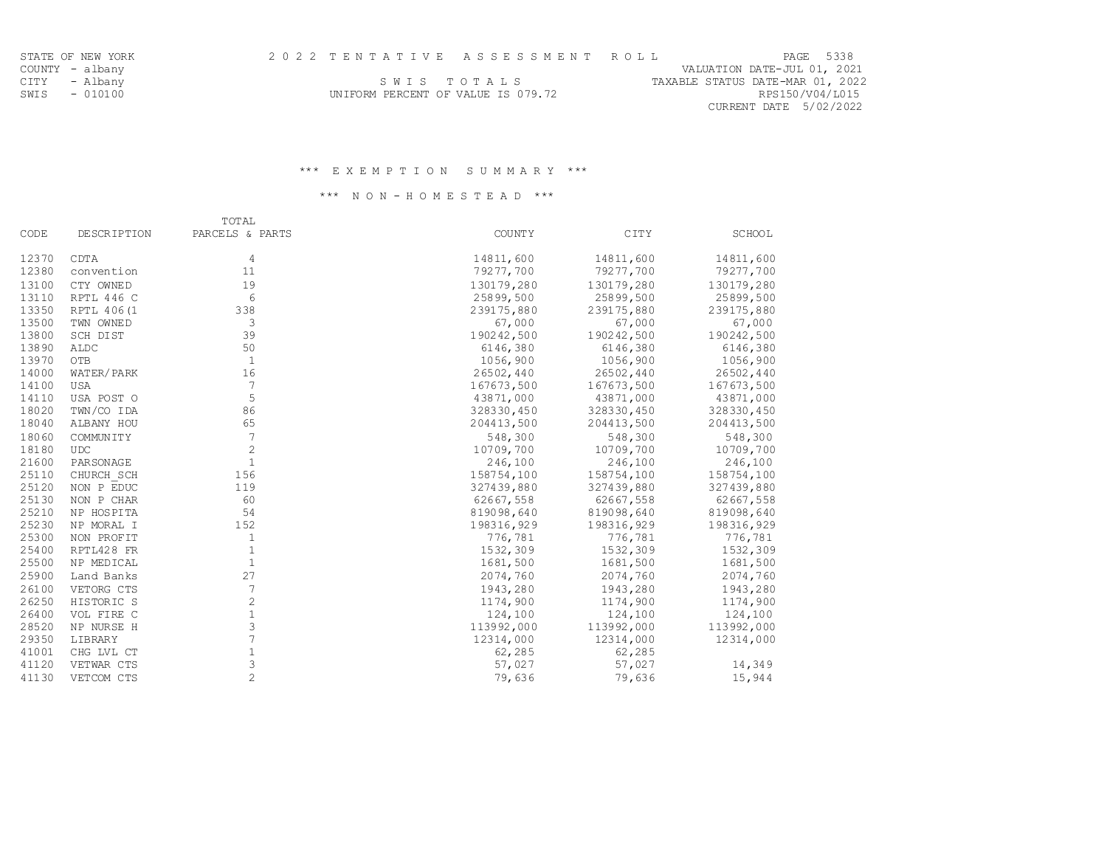CURRENT DATE 5/02/2022

CITY - Albany Samman Sand Sand Sand Sand Sand Sand Sand States (1, 2022 September 1987) CITY - Captain States SWIS - 010100 UNIFORM PERCENT OF VALUE IS 079.72 RPS150/V04/L015

### \*\*\* E X E M P T I O N S U M M A R Y \*\*\*

## \*\*\* N O N - H O M E S T E A D \*\*\*

|       |                    | TOTAL           |            |            |            |
|-------|--------------------|-----------------|------------|------------|------------|
| CODE  | <b>DESCRIPTION</b> | PARCELS & PARTS | COUNTY     | CITY       | SCHOOL     |
| 12370 | CDTA               | $\overline{4}$  | 14811,600  | 14811,600  | 14811,600  |
| 12380 | convention         | 11              | 79277,700  | 79277,700  | 79277,700  |
| 13100 | CTY OWNED          | 19              | 130179,280 | 130179,280 | 130179,280 |
| 13110 | RPTL 446 C         | 6               | 25899,500  | 25899,500  | 25899,500  |
| 13350 | RPTL 406 (1        | 338             | 239175,880 | 239175,880 | 239175,880 |
| 13500 | TWN OWNED          | 3               | 67,000     | 67,000     | 67,000     |
| 13800 | SCH DIST           | 39              | 190242,500 | 190242,500 | 190242,500 |
| 13890 | ALDC               | 50              | 6146,380   | 6146,380   | 6146,380   |
| 13970 | OTB                | 1               | 1056,900   | 1056,900   | 1056,900   |
| 14000 | WATER/PARK         | 16              | 26502,440  | 26502,440  | 26502,440  |
| 14100 | <b>USA</b>         | 7               | 167673,500 | 167673,500 | 167673,500 |
| 14110 | USA POST O         | 5               | 43871,000  | 43871,000  | 43871,000  |
| 18020 | TWN/CO IDA         | 86              | 328330,450 | 328330,450 | 328330,450 |
| 18040 | ALBANY HOU         | 65              | 204413,500 | 204413,500 | 204413,500 |
| 18060 | <b>COMMUNITY</b>   | 7               | 548,300    | 548,300    | 548,300    |
| 18180 | <b>UDC</b>         | $\overline{c}$  | 10709,700  | 10709,700  | 10709,700  |
| 21600 | PARSONAGE          | $\mathbf{1}$    | 246,100    | 246,100    | 246,100    |
| 25110 | CHURCH SCH         | 156             | 158754,100 | 158754,100 | 158754,100 |
| 25120 | NON P EDUC         | 119             | 327439,880 | 327439,880 | 327439,880 |
| 25130 | NON P CHAR         | 60              | 62667,558  | 62667,558  | 62667,558  |
| 25210 | NP HOSPITA         | 54              | 819098,640 | 819098,640 | 819098,640 |
| 25230 | NP MORAL I         | 152             | 198316,929 | 198316,929 | 198316,929 |
| 25300 | NON PROFIT         | $\mathbf{1}$    | 776,781    | 776,781    | 776,781    |
| 25400 | RPTL428 FR         | $\mathbf{1}$    | 1532,309   | 1532,309   | 1532,309   |
| 25500 | NP MEDICAL         | $\mathbf{1}$    | 1681,500   | 1681,500   | 1681,500   |
| 25900 | Land Banks         | 27              | 2074,760   | 2074,760   | 2074,760   |
| 26100 | VETORG CTS         | $\sqrt{ }$      | 1943,280   | 1943,280   | 1943,280   |
| 26250 | HISTORIC S         | $\mathbf{2}$    | 1174,900   | 1174,900   | 1174,900   |
| 26400 | VOL FIRE C         | $1\,$           | 124,100    | 124,100    | 124,100    |
| 28520 | NP NURSE H         | 3               | 113992,000 | 113992,000 | 113992,000 |
| 29350 | LIBRARY            | 7               | 12314,000  | 12314,000  | 12314,000  |
| 41001 | CHG LVL CT         | $1\,$           | 62,285     | 62,285     |            |
| 41120 | VETWAR CTS         | 3               | 57,027     | 57,027     | 14,349     |
| 41130 | VETCOM CTS         | $\overline{c}$  | 79,636     | 79,636     | 15,944     |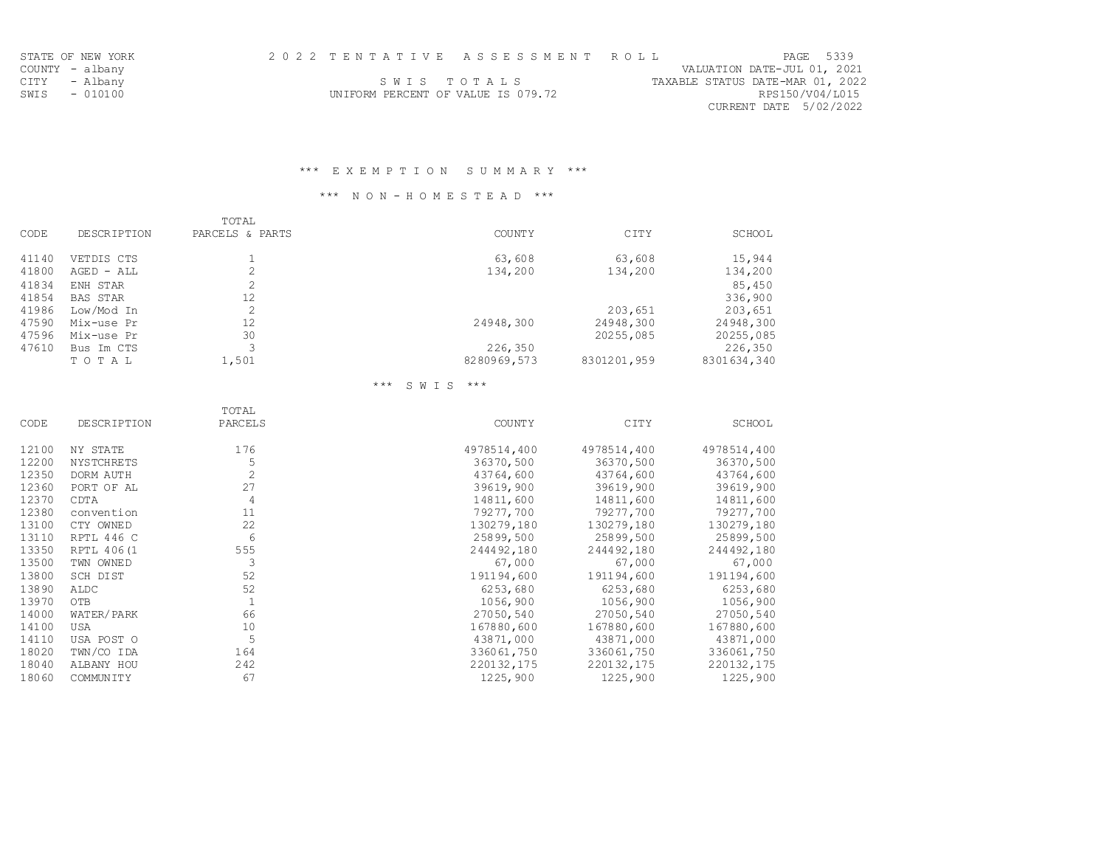| STATE OF NEW YORK | 2022 TENTATIVE ASSESSMENT ROLL     | PAGE 5339                        |
|-------------------|------------------------------------|----------------------------------|
| COUNTY - albany   |                                    | VALUATION DATE-JUL 01, 2021      |
| CITY - Albany     | SWIS TOTALS                        | TAXABLE STATUS DATE-MAR 01, 2022 |
| SWIS - 010100     | UNIFORM PERCENT OF VALUE IS 079.72 | RPS150/V04/L015                  |
|                   |                                    | CURRENT DATE 5/02/2022           |

## \*\*\* N O N - H O M E S T E A D \*\*\*

|       |                    | TOTAL           |               |             |             |
|-------|--------------------|-----------------|---------------|-------------|-------------|
| CODE  | <b>DESCRIPTION</b> | PARCELS & PARTS | <b>COUNTY</b> | CITY        | SCHOOL      |
| 41140 | VETDIS CTS         |                 | 63,608        | 63,608      | 15,944      |
| 41800 | $AGED - ALL$       |                 | 134,200       | 134,200     | 134,200     |
| 41834 | ENH STAR           |                 |               |             | 85,450      |
| 41854 | <b>BAS STAR</b>    | 12              |               |             | 336,900     |
| 41986 | Low/Mod In         |                 |               | 203,651     | 203,651     |
| 47590 | Mix-use Pr         | 12              | 24948,300     | 24948,300   | 24948,300   |
| 47596 | Mix-use Pr         | 30              |               | 20255,085   | 20255,085   |
| 47610 | Bus Im CTS         |                 | 226,350       |             | 226,350     |
|       | TOTAL              | 1,501           | 8280969,573   | 8301201,959 | 8301634,340 |

# \*\*\* S W I S \*\*\*

| CODE  | <b>DESCRIPTION</b> | TOTAL<br>PARCELS | <b>COUNTY</b> | CITY        | SCHOOL      |
|-------|--------------------|------------------|---------------|-------------|-------------|
|       |                    |                  |               |             |             |
| 12100 | NY STATE           | 176              | 4978514,400   | 4978514,400 | 4978514,400 |
| 12200 | NYSTCHRETS         | 5                | 36370,500     | 36370,500   | 36370,500   |
| 12350 | DORM AUTH          | $\mathbf{2}$     | 43764,600     | 43764,600   | 43764,600   |
| 12360 | PORT OF AL         | 27               | 39619,900     | 39619,900   | 39619,900   |
| 12370 | CDTA               | 4                | 14811,600     | 14811,600   | 14811,600   |
| 12380 | convention         | 11               | 79277,700     | 79277,700   | 79277,700   |
| 13100 | CTY OWNED          | 22               | 130279,180    | 130279,180  | 130279,180  |
| 13110 | RPTL 446 C         | 6                | 25899,500     | 25899,500   | 25899,500   |
| 13350 | RPTL 406(1         | 555              | 244492,180    | 244492,180  | 244492,180  |
| 13500 | TWN OWNED          | 3                | 67,000        | 67,000      | 67,000      |
| 13800 | SCH DIST           | 52               | 191194,600    | 191194,600  | 191194,600  |
| 13890 | <b>ALDC</b>        | 52               | 6253,680      | 6253,680    | 6253,680    |
| 13970 | OTB                | $\mathbf{1}$     | 1056,900      | 1056,900    | 1056,900    |
| 14000 | WATER/PARK         | 66               | 27050,540     | 27050,540   | 27050,540   |
| 14100 | <b>USA</b>         | 10               | 167880,600    | 167880,600  | 167880,600  |
| 14110 | USA POST O         | 5                | 43871,000     | 43871,000   | 43871,000   |
| 18020 | TWN/CO IDA         | 164              | 336061,750    | 336061,750  | 336061,750  |
| 18040 | ALBANY HOU         | 242              | 220132,175    | 220132,175  | 220132,175  |
| 18060 | <b>COMMUNITY</b>   | 67               | 1225,900      | 1225,900    | 1225,900    |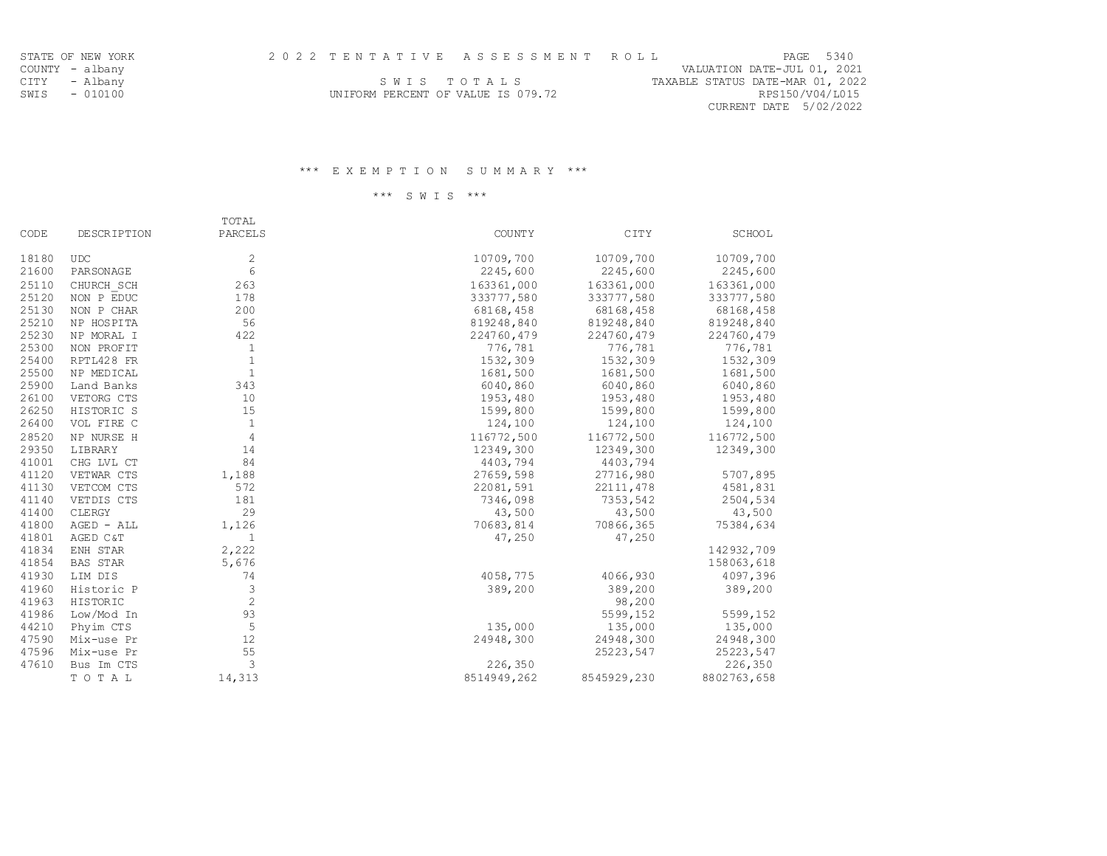| STATE OF NEW YORK | 2022 TENTATIVE ASSESSMENT ROLL     | PAGE 5340                        |  |
|-------------------|------------------------------------|----------------------------------|--|
| COUNTY - albany   |                                    | VALUATION DATE-JUL 01, 2021      |  |
| CITY - Albany     | SWIS TOTALS                        | TAXABLE STATUS DATE-MAR 01, 2022 |  |
| SWIS - 010100     | UNIFORM PERCENT OF VALUE IS 079.72 | RPS150/V04/L015                  |  |
|                   |                                    | CURRENT DATE 5/02/2022           |  |

\*\*\* S W I S \*\*\*

STATE OF NEW YORK COUNTY - albany

| CODE  | DESCRIPTION | TOTAL<br>PARCELS | <b>COUNTY</b> | CITY        | SCHOOL      |
|-------|-------------|------------------|---------------|-------------|-------------|
|       |             |                  |               |             |             |
| 18180 | <b>UDC</b>  | $\mathbf{2}$     | 10709,700     | 10709,700   | 10709,700   |
| 21600 | PARSONAGE   | 6                | 2245,600      | 2245,600    | 2245,600    |
| 25110 | CHURCH SCH  | 263              | 163361,000    | 163361,000  | 163361,000  |
| 25120 | NON P EDUC  | 178              | 333777,580    | 333777,580  | 333777,580  |
| 25130 | NON P CHAR  | 200              | 68168,458     | 68168,458   | 68168,458   |
| 25210 | NP HOSPITA  | 56               | 819248,840    | 819248,840  | 819248,840  |
| 25230 | NP MORAL I  | 422              | 224760,479    | 224760,479  | 224760,479  |
| 25300 | NON PROFIT  | $\mathbf{1}$     | 776,781       | 776,781     | 776,781     |
| 25400 | RPTL428 FR  | $\mathbf{1}$     | 1532,309      | 1532,309    | 1532,309    |
| 25500 | NP MEDICAL  | $\mathbf{1}$     | 1681,500      | 1681,500    | 1681,500    |
| 25900 | Land Banks  | 343              | 6040,860      | 6040,860    | 6040,860    |
| 26100 | VETORG CTS  | 10               | 1953, 480     | 1953,480    | 1953,480    |
| 26250 | HISTORIC S  | 15               | 1599,800      | 1599,800    | 1599,800    |
| 26400 | VOL FIRE C  | $\mathbf{1}$     | 124,100       | 124,100     | 124,100     |
| 28520 | NP NURSE H  | $\overline{4}$   | 116772,500    | 116772,500  | 116772,500  |
| 29350 | LIBRARY     | 14               | 12349,300     | 12349,300   | 12349,300   |
| 41001 | CHG LVL CT  | 84               | 4403,794      | 4403,794    |             |
| 41120 | VETWAR CTS  | 1,188            | 27659,598     | 27716,980   | 5707,895    |
| 41130 | VETCOM CTS  | 572              | 22081,591     | 22111,478   | 4581,831    |
| 41140 | VETDIS CTS  | 181              | 7346,098      | 7353,542    | 2504,534    |
| 41400 | CLERGY      | 29               | 43,500        | 43,500      | 43,500      |
| 41800 | AGED - ALL  | 1,126            | 70683,814     | 70866,365   | 75384,634   |
| 41801 | AGED C&T    | $\mathbf{1}$     | 47,250        | 47,250      |             |
| 41834 | ENH STAR    | 2,222            |               |             | 142932,709  |
| 41854 | BAS STAR    | 5,676            |               |             | 158063,618  |
| 41930 | LIM DIS     | 74               | 4058,775      | 4066,930    | 4097,396    |
| 41960 | Historic P  | 3                | 389,200       | 389,200     | 389,200     |
| 41963 | HISTORIC    | $\overline{c}$   |               | 98,200      |             |
| 41986 | Low/Mod In  | 93               |               | 5599,152    | 5599,152    |
| 44210 | Phyim CTS   | 5                | 135,000       | 135,000     | 135,000     |
| 47590 | Mix-use Pr  | 12               | 24948,300     | 24948,300   | 24948,300   |
| 47596 | Mix-use Pr  | 55               |               | 25223,547   | 25223,547   |
| 47610 | Bus Im CTS  | 3                | 226,350       |             | 226,350     |
|       | TO TAL      | 14,313           | 8514949,262   | 8545929,230 | 8802763,658 |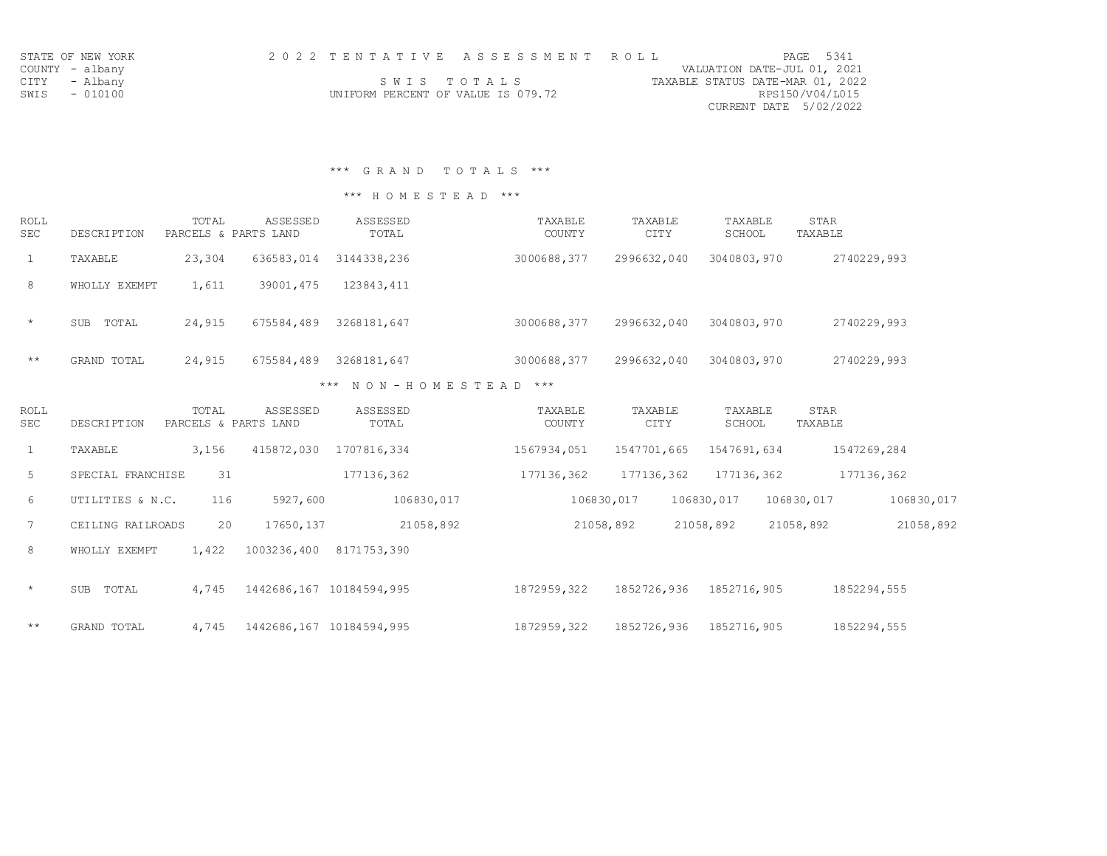|                 | STATE OF NEW YORK | 2022 TENTATIVE ASSESSMENT ROLL |                                    |             |  |  |  |                                  |                        | PAGE 5341 |
|-----------------|-------------------|--------------------------------|------------------------------------|-------------|--|--|--|----------------------------------|------------------------|-----------|
| COUNTY - albany |                   |                                |                                    |             |  |  |  | VALUATION DATE-JUL 01, 2021      |                        |           |
| CITY - Albany   |                   |                                |                                    | SWIS TOTALS |  |  |  | TAXABLE STATUS DATE-MAR 01, 2022 |                        |           |
| SWIS - 010100   |                   |                                | UNIFORM PERCENT OF VALUE IS 079.72 |             |  |  |  |                                  | RPS150/V04/L015        |           |
|                 |                   |                                |                                    |             |  |  |  |                                  | CURRENT DATE 5/02/2022 |           |

\*\*\* G R A N D T O T A L S \*\*\*

## \*\*\* H O M E S T E A D \*\*\*

| <b>ROLL</b><br><b>SEC</b> | DESCRIPTION   | TOTAL<br>PARCELS & PARTS LAND | ASSESSED   | ASSESSED<br>TOTAL | TAXABLE<br><b>COUNTY</b> | TAXABLE<br><b>CITY</b> | TAXABLE<br>SCHOOL | STAR<br>TAXABLE |
|---------------------------|---------------|-------------------------------|------------|-------------------|--------------------------|------------------------|-------------------|-----------------|
|                           | TAXABLE       | 23,304                        | 636583,014 | 3144338,236       | 3000688,377              | 2996632,040            | 3040803,970       | 2740229,993     |
| 8                         | WHOLLY EXEMPT | 1,611                         | 39001,475  | 123843,411        |                          |                        |                   |                 |
| $\star$                   | TOTAL<br>SUB  | 24,915                        | 675584,489 | 3268181,647       | 3000688,377              | 2996632,040            | 3040803,970       | 2740229,993     |

\*\* GRAND TOTAL 24,915 675584,489 3268181,647 3000688,377 2996632,040 3040803,970 2740229,993 \*\*\* N O N - H O M E S T E A D \*\*\*

| ROLL<br><b>SEC</b> | DESCRIPTION         | TOTAL | <b>ASSESSED</b><br>PARCELS & PARTS LAND | ASSESSED<br>TOTAL | TAXABLE<br><b>COUNTY</b> | TAXABLE<br><b>CITY</b> | TAXABLE<br>SCHOOL | STAR<br>TAXABLE |            |
|--------------------|---------------------|-------|-----------------------------------------|-------------------|--------------------------|------------------------|-------------------|-----------------|------------|
| $\mathbf{1}$       | TAXABLE             | 3,156 | 415872,030                              | 1707816,334       | 1567934,051              | 1547701,665            | 1547691,634       | 1547269,284     |            |
| 5                  | SPECIAL FRANCHISE   | 31    |                                         | 177136,362        | 177136,362               | 177136,362             | 177136,362        |                 | 177136,362 |
| 6                  | UTILITIES & N.C.    | 116   | 5927,600                                | 106830,017        |                          | 106830,017             | 106830,017        | 106830,017      | 106830,017 |
| $7\phantom{.0}$    | CEILING RAILROADS   | 20    | 17650, 137                              | 21058,892         |                          | 21058,892              | 21058,892         | 21058,892       | 21058,892  |
| 8                  | WHOLLY EXEMPT       | 1,422 | 1003236,400                             | 8171753,390       |                          |                        |                   |                 |            |
| $\star$            | TOTAL<br><b>SUB</b> | 4,745 | 1442686,167                             | 10184594,995      | 1872959,322              | 1852726,936            | 1852716,905       | 1852294,555     |            |
| $\star\star$       | GRAND TOTAL         | 4,745 | 1442686,167                             | 10184594,995      | 1872959,322              | 1852726,936            | 1852716,905       | 1852294,555     |            |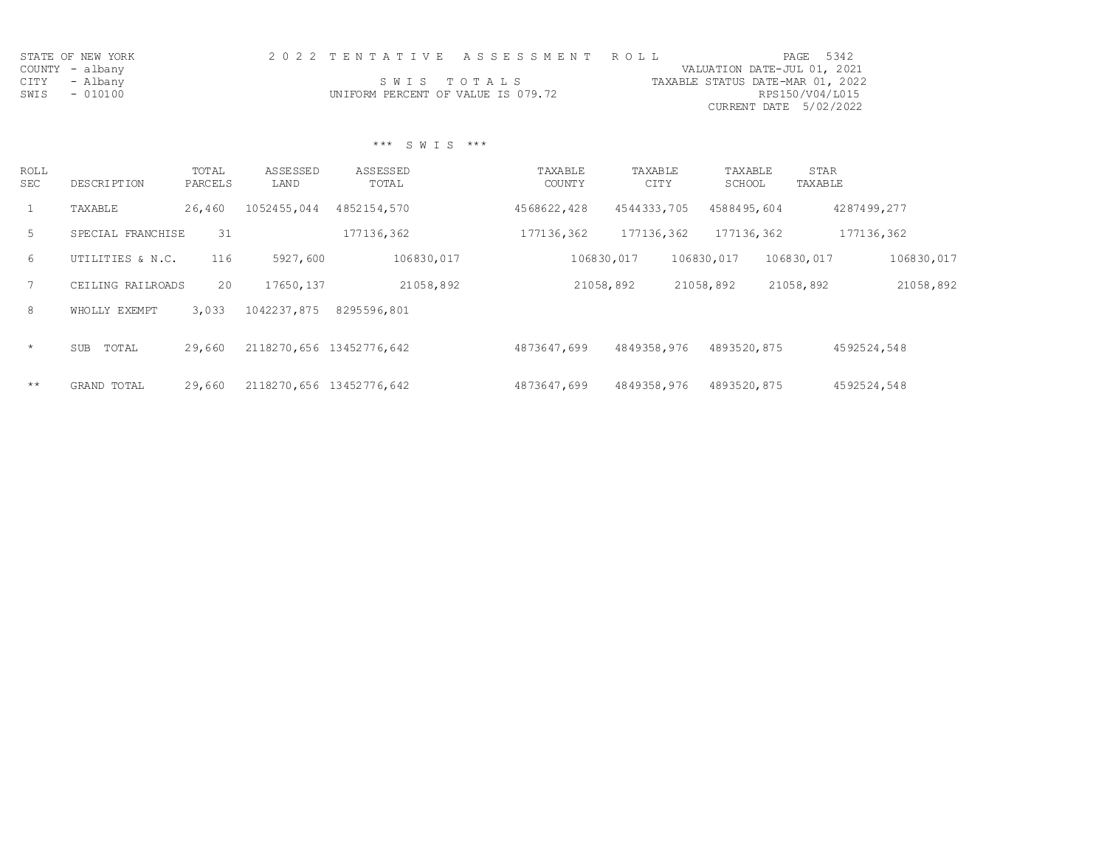| STATE OF NEW YORK | 2022 TENTATIVE ASSESSMENT ROLL     | PAGE 5342                        |
|-------------------|------------------------------------|----------------------------------|
| COUNTY - albany   |                                    | VALUATION DATE-JUL 01, 2021      |
| CITY - Albany     | SWIS TOTALS                        | TAXABLE STATUS DATE-MAR 01, 2022 |
| SWIS - 010100     | UNIFORM PERCENT OF VALUE IS 079.72 | RPS150/V04/L015                  |
|                   |                                    | CURRENT DATE 5/02/2022           |

## \*\*\* S W I S \*\*\*

| ROLL<br><b>SEC</b> | DESCRIPTION         | TOTAL<br>PARCELS | ASSESSED<br>LAND         | ASSESSED<br>TOTAL | TAXABLE<br><b>COUNTY</b> | TAXABLE<br><b>CITY</b> | TAXABLE<br>SCHOOL | STAR<br>TAXABLE |             |
|--------------------|---------------------|------------------|--------------------------|-------------------|--------------------------|------------------------|-------------------|-----------------|-------------|
|                    | TAXABLE             | 26,460           | 1052455,044              | 4852154,570       | 4568622,428              | 4544333,705            | 4588495,604       |                 | 4287499,277 |
| 5                  | SPECIAL FRANCHISE   | 31               |                          | 177136,362        | 177136,362               | 177136,362             | 177136,362        |                 | 177136,362  |
| 6                  | UTILITIES & N.C.    | 116              | 5927,600                 | 106830,017        | 106830,017               |                        | 106830,017        | 106830,017      | 106830,017  |
|                    | CEILING RAILROADS   | 20               | 17650, 137               | 21058,892         | 21058,892                |                        | 21058,892         | 21058,892       | 21058,892   |
| 8                  | WHOLLY EXEMPT       | 3,033            | 1042237,875              | 8295596,801       |                          |                        |                   |                 |             |
| $\star$            | TOTAL<br><b>SUB</b> | 29,660           | 2118270,656 13452776,642 |                   | 4873647,699              | 4849358,976            | 4893520,875       |                 | 4592524,548 |
| $***$              | GRAND TOTAL         | 29,660           | 2118270,656 13452776,642 |                   | 4873647,699              | 4849358,976            | 4893520,875       |                 | 4592524,548 |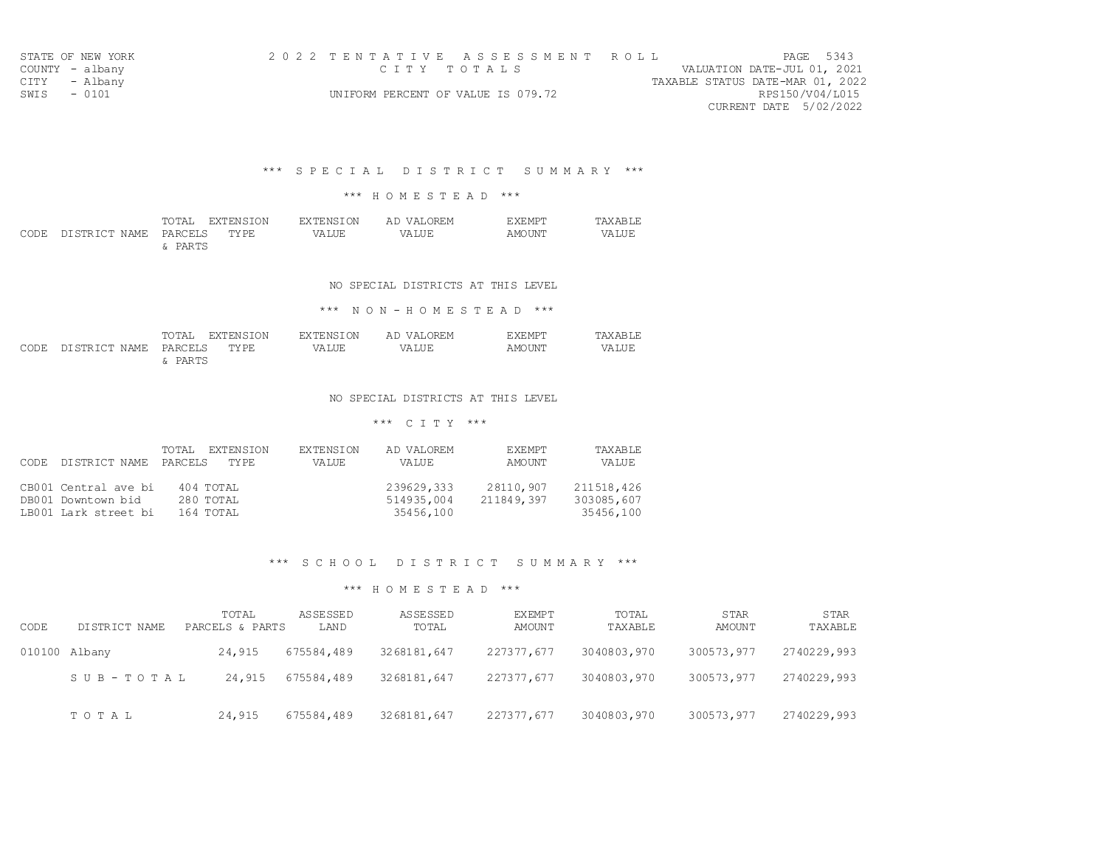| STATE OF NEW YORK |                                    | 2022 TENTATIVE ASSESSMENT ROLL |                                  | PAGE 5343       |
|-------------------|------------------------------------|--------------------------------|----------------------------------|-----------------|
| COUNTY - albany   | стту тотања                        |                                | VALUATION DATE-JUL 01, 2021      |                 |
| CITY - Albany     |                                    |                                | TAXABLE STATUS DATE-MAR 01, 2022 |                 |
| SWIS - 0101       | UNIFORM PERCENT OF VALUE IS 079.72 |                                |                                  | RPS150/V04/L015 |
|                   |                                    |                                | CURRENT DATE 5/02/2022           |                 |

### \*\*\* S P E C I A L D I S T R I C T S U M M A R Y \*\*\*

### \*\*\* H O M E S T E A D \*\*\*

|                                 |         | TOTAL EXTENSION | EXTENSION | AD VALOREM | <b>EXEMPT</b> | TAXABLE |
|---------------------------------|---------|-----------------|-----------|------------|---------------|---------|
| CODE DISTRICT NAME PARCELS TYPE |         |                 | VALUE     | VALUE      | AMOUNT        | VALUE   |
|                                 | & PARTS |                 |           |            |               |         |

#### NO SPECIAL DISTRICTS AT THIS LEVEL

### \*\*\* N O N - H O M E S T E A D \*\*\*

|                                 |         | TOTAL EXTENSION | EXTENSION | AD VALOREM | EXEMPT | TAXABLE |
|---------------------------------|---------|-----------------|-----------|------------|--------|---------|
| CODE DISTRICT NAME PARCELS TYPE |         |                 | VALUE     | VALUE      | AMOUNT | VALUE   |
|                                 | & PARTS |                 |           |            |        |         |

### NO SPECIAL DISTRICTS AT THIS LEVEL

### \*\*\* C I T Y \*\*\*

| DISTRICT NAME PARCELS<br>CODE. | TOTAL<br>EXTENSION<br>TY PF. | <b>EXTENSION</b><br>VALUE | AD VALOREM<br>VALUE | <b>EXEMPT</b><br>AMOUNT | TAXABLE<br>VALUE |
|--------------------------------|------------------------------|---------------------------|---------------------|-------------------------|------------------|
| CB001 Central ave bi           | 404 TOTAL                    |                           | 239629,333          | 28110,907               | 211518,426       |
| DB001 Downtown bid             | 280 TOTAL                    |                           | 514935,004          | 211849,397              | 303085,607       |
| LB001 Lark street bi           | 164 TOTAL                    |                           | 35456,100           |                         | 35456,100        |

## \*\*\* S C H O O L D I S T R I C T S U M M A R Y \*\*\*

| CODE | DISTRICT NAME | TOTAL<br>PARCELS & PARTS | <b>ASSESSED</b><br>LAND | ASSESSED<br>TOTAL | <b>EXEMPT</b><br>AMOUNT | TOTAL<br>TAXABLE | <b>STAR</b><br>AMOUNT | <b>STAR</b><br>TAXABLE |
|------|---------------|--------------------------|-------------------------|-------------------|-------------------------|------------------|-----------------------|------------------------|
|      | 010100 Albany | 24,915                   | 675584,489              | 3268181,647       | 227377,677              | 3040803,970      | 300573,977            | 2740229,993            |
|      | SUB-TOTAL     | 24,915                   | 675584,489              | 3268181,647       | 227377,677              | 3040803,970      | 300573,977            | 2740229,993            |
|      | TOTAL         | 24,915                   | 675584,489              | 3268181,647       | 227377,677              | 3040803,970      | 300573,977            | 2740229,993            |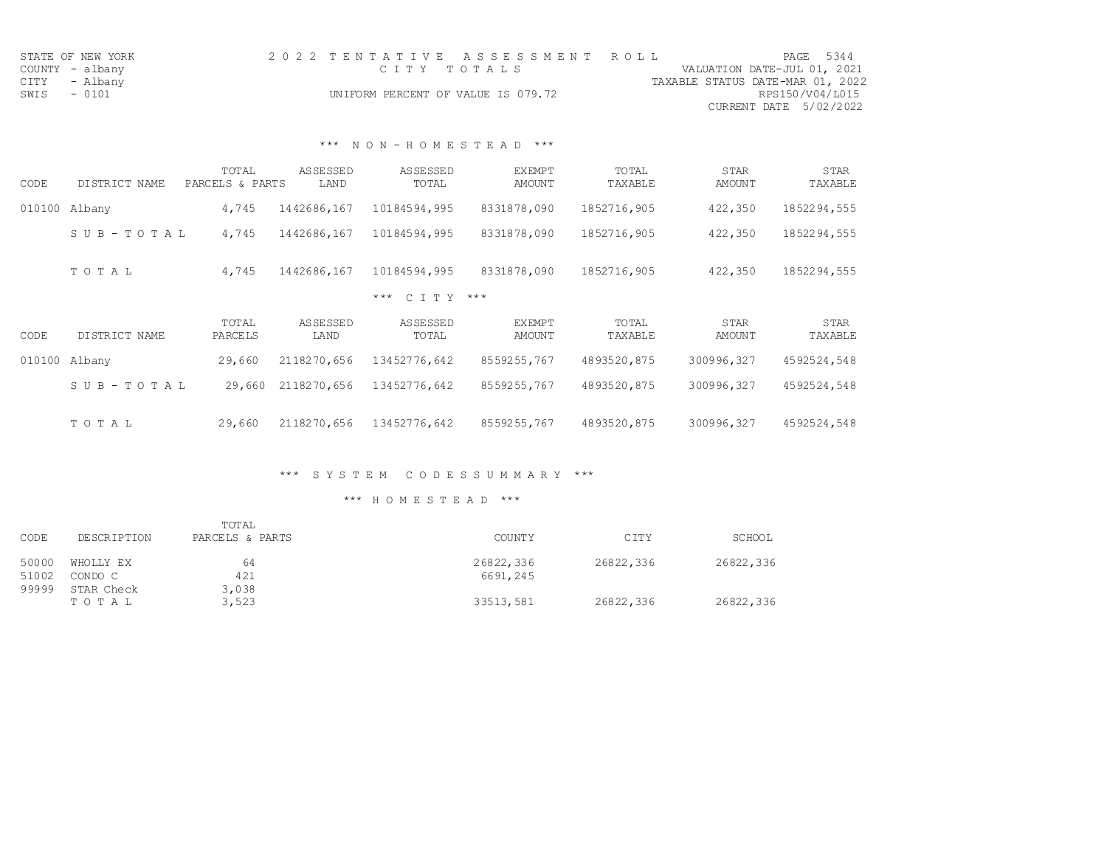|      | STATE OF NEW YORK |              | 2022 TENTATIVE ASSESSMENT ROLL     |                                  |                        | PAGE 5344 |
|------|-------------------|--------------|------------------------------------|----------------------------------|------------------------|-----------|
|      | COUNTY - albany   | СТТҮ ТОТАІ S |                                    | VALUATION DATE-JUL 01, 2021      |                        |           |
|      | CITY - Albany     |              |                                    | TAXABLE STATUS DATE-MAR 01, 2022 |                        |           |
| SWIS | $-0101$           |              | UNIFORM PERCENT OF VALUE IS 079.72 |                                  | RPS150/V04/L015        |           |
|      |                   |              |                                    |                                  | CURRENT DATE 5/02/2022 |           |

## \*\*\* N O N - H O M E S T E A D \*\*\*

| CODE   | DISTRICT NAME         | TOTAL<br>PARCELS & PARTS | <b>ASSESSED</b><br>LAND | <b>ASSESSED</b><br>TOTAL | <b>EXEMPT</b><br><b>AMOUNT</b> | TOTAL<br>TAXABLE | <b>STAR</b><br>AMOUNT        | <b>STAR</b><br>TAXABLE |
|--------|-----------------------|--------------------------|-------------------------|--------------------------|--------------------------------|------------------|------------------------------|------------------------|
| 010100 | Albany                | 4,745                    | 1442686,167             | 10184594,995             | 8331878,090                    | 1852716,905      | 422,350                      | 1852294,555            |
|        | SUB-TOTAL             | 4,745                    | 1442686,167             | 10184594,995             | 8331878,090                    | 1852716,905      | 422,350                      | 1852294,555            |
|        | TOTAL                 | 4,745                    | 1442686,167             | 10184594,995             | 8331878,090                    | 1852716,905      | 422,350                      | 1852294,555            |
|        |                       |                          |                         | $C T T Y$ ***<br>$***$   |                                |                  |                              |                        |
| CODE   | DISTRICT NAME         | TOTAL<br>PARCELS         | ASSESSED<br>LAND        | <b>ASSESSED</b><br>TOTAL | <b>EXEMPT</b><br><b>AMOUNT</b> | TOTAL<br>TAXABLE | <b>STAR</b><br><b>AMOUNT</b> | <b>STAR</b><br>TAXABLE |
| 010100 | Albany                | 29,660                   | 2118270,656             | 13452776,642             | 8559255,767                    | 4893520,875      | 300996,327                   | 4592524,548            |
|        | $S \cup B - TO T A L$ | 29,660                   | 2118270,656             | 13452776,642             | 8559255,767                    | 4893520,875      | 300996,327                   | 4592524,548            |
|        | TOTAL                 | 29,660                   | 2118270,656             | 13452776,642             | 8559255,767                    | 4893520,875      | 300996,327                   | 4592524,548            |

## \*\*\* S Y S T E M C O D E S S U M M A R Y \*\*\*

|                |                      | TOTAL           |                       |           |           |
|----------------|----------------------|-----------------|-----------------------|-----------|-----------|
| CODE           | DESCRIPTION          | PARCELS & PARTS | <b>COUNTY</b>         | CITY      | SCHOOL    |
| 50000<br>51002 | WHOLLY EX<br>CONDO C | 64<br>421       | 26822,336<br>6691,245 | 26822,336 | 26822,336 |
| 99999          | STAR Check<br>TOTAL  | 3,038<br>3,523  | 33513,581             | 26822,336 | 26822,336 |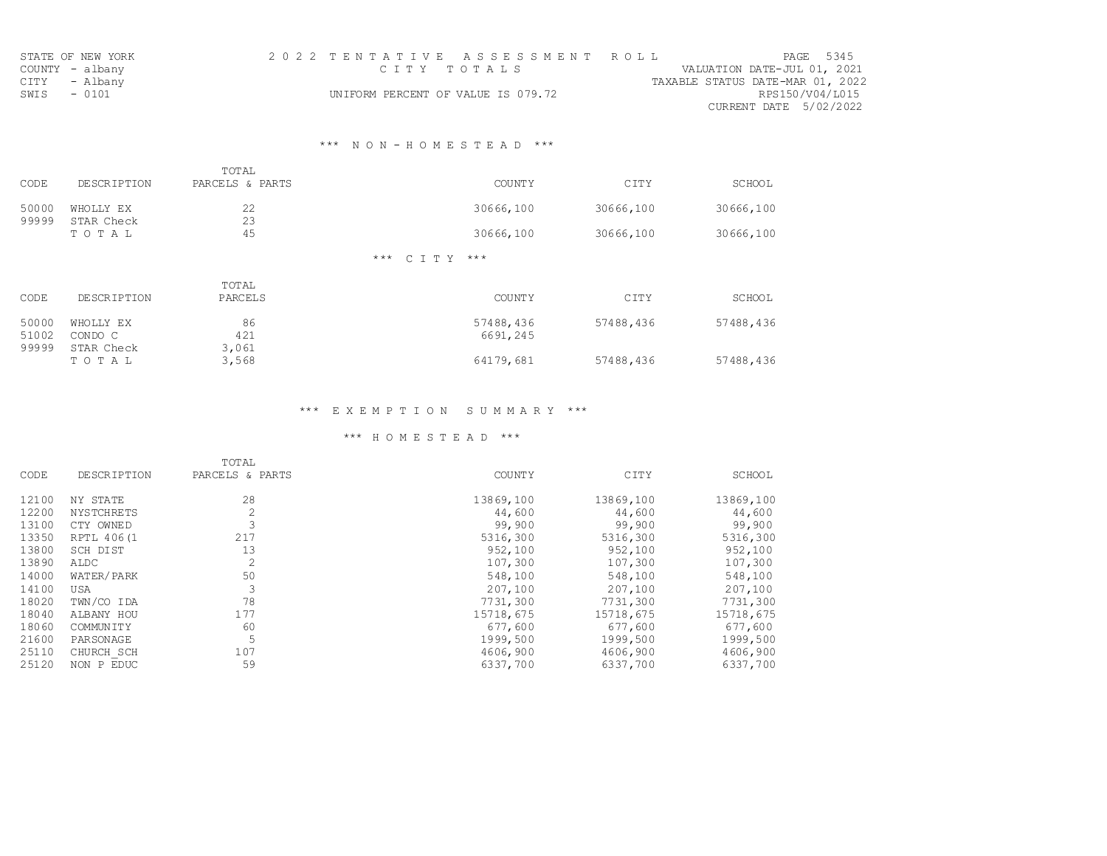| STATE OF NEW YORK | 2022 TENTATIVE ASSESSMENT ROLL     | PAGE 5345                        |
|-------------------|------------------------------------|----------------------------------|
| COUNTY - albany   | сттү тотан s                       | VALUATION DATE-JUL 01, 2021      |
| CITY - Albany     |                                    | TAXABLE STATUS DATE-MAR 01, 2022 |
| $-0101$<br>SWIS   | UNIFORM PERCENT OF VALUE IS 079.72 | RPS150/V04/L015                  |
|                   |                                    | CURRENT DATE 5/02/2022           |

## \*\*\* N O N - H O M E S T E A D \*\*\*

|                |                         | TOTAL                   |                      |           |           |
|----------------|-------------------------|-------------------------|----------------------|-----------|-----------|
| CODE           | <b>DESCRIPTION</b>      | PARCELS & PARTS         | <b>COUNTY</b>        | CITY      | SCHOOL    |
| 50000<br>99999 | WHOLLY EX<br>STAR Check | 22<br>23                | 30666,100            | 30666,100 | 30666,100 |
|                | TOTAL                   | 45                      | 30666,100            | 30666,100 | 30666,100 |
|                |                         |                         | *** C T T Y<br>$***$ |           |           |
| CODE           | <b>DE SCR TRITON</b>    | TOTAL<br><b>DARCELS</b> | <b>COLINTY</b>       | $C$ TTV   | SCHOOT.   |

| - Gude | DESCRIPTION | <i>PA</i> RULLO | uuuti 1   | UIII      | <b>SCHOOT</b> |
|--------|-------------|-----------------|-----------|-----------|---------------|
| 50000  | WHOLLY EX   | 86              | 57488,436 | 57488,436 | 57488,436     |
| 51002  | CONDO C     | 421             | 6691,245  |           |               |
| 99999  | STAR Check  | 3,061           |           |           |               |
|        | TOTAL       | 3,568           | 64179,681 | 57488,436 | 57488,436     |

## \*\*\* E X E M P T I O N S U M M A R Y \*\*\*

|       |                    | TOTAL           |               |           |           |
|-------|--------------------|-----------------|---------------|-----------|-----------|
| CODE  | <b>DESCRIPTION</b> | PARCELS & PARTS | <b>COUNTY</b> | CITY      | SCHOOL    |
| 12100 | NY STATE           | 28              | 13869,100     | 13869,100 | 13869,100 |
| 12200 | <b>NYSTCHRETS</b>  | 2               | 44,600        | 44,600    | 44,600    |
| 13100 | CTY OWNED          | 3               | 99,900        | 99,900    | 99,900    |
| 13350 | RPTL 406(1         | 217             | 5316,300      | 5316,300  | 5316,300  |
| 13800 | SCH DIST           | 13              | 952,100       | 952,100   | 952,100   |
| 13890 | ALDC               | $\overline{2}$  | 107,300       | 107,300   | 107,300   |
| 14000 | WATER/PARK         | 50              | 548,100       | 548,100   | 548,100   |
| 14100 | <b>USA</b>         | 3               | 207,100       | 207,100   | 207,100   |
| 18020 | TWN/CO IDA         | 78              | 7731,300      | 7731,300  | 7731,300  |
| 18040 | ALBANY HOU         | 177             | 15718,675     | 15718,675 | 15718,675 |
| 18060 | <b>COMMUNITY</b>   | 60              | 677,600       | 677,600   | 677,600   |
| 21600 | PARSONAGE          | 5               | 1999,500      | 1999,500  | 1999,500  |
| 25110 | CHURCH SCH         | 107             | 4606,900      | 4606,900  | 4606,900  |
| 25120 | NON P EDUC         | 59              | 6337,700      | 6337,700  | 6337,700  |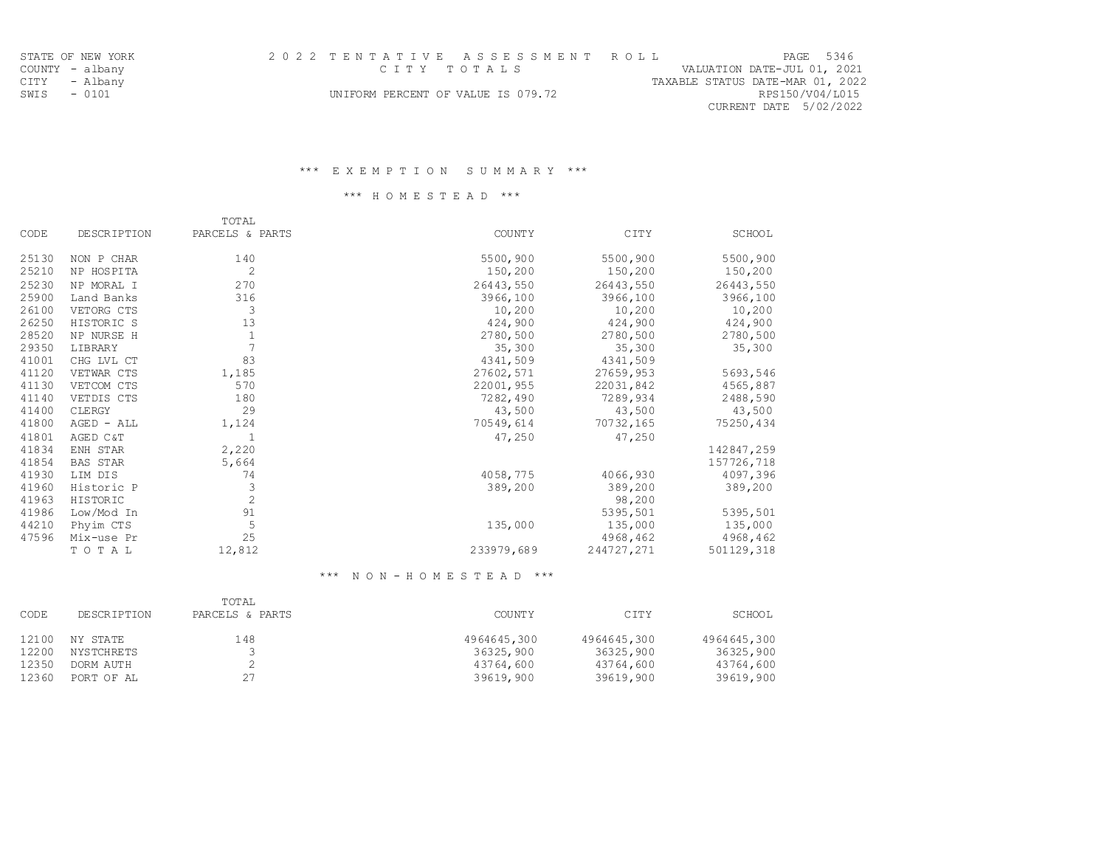| STATE OF NEW YORK | 2022 TENTATIVE ASSESSMENT ROLL     | PAGE 5346                        |
|-------------------|------------------------------------|----------------------------------|
| COUNTY - albany   | стту тотања                        | VALUATION DATE-JUL 01, 2021      |
| CITY - Albany     |                                    | TAXABLE STATUS DATE-MAR 01, 2022 |
| SWIS - 0101       | UNIFORM PERCENT OF VALUE IS 079.72 | RPS150/V04/L015                  |
|                   |                                    | CURRENT DATE 5/02/2022           |

## \*\*\* H O M E S T E A D \*\*\*

|             | TOTAL           |                |            |               |
|-------------|-----------------|----------------|------------|---------------|
| DESCRIPTION | PARCELS & PARTS | <b>COUNTY</b>  | CITY       | <b>SCHOOL</b> |
| NON P CHAR  | 140             | 5500,900       | 5500,900   | 5500,900      |
| NP HOSPITA  | 2               | 150,200        | 150,200    | 150,200       |
| NP MORAL I  | 270             | 26443,550      | 26443,550  | 26443,550     |
| Land Banks  | 316             | 3966,100       | 3966,100   | 3966,100      |
| VETORG CTS  | 3               | 10,200         | 10,200     | 10,200        |
| HISTORIC S  | 13              | 424,900        | 424,900    | 424,900       |
| NP NURSE H  | $1\,$           | 2780,500       | 2780,500   | 2780,500      |
| LIBRARY     |                 | 35,300         | 35,300     | 35,300        |
| CHG LVL CT  | 83              | 4341,509       | 4341,509   |               |
| VETWAR CTS  | 1,185           | 27602,571      | 27659,953  | 5693,546      |
| VETCOM CTS  | 570             | 22001,955      | 22031,842  | 4565,887      |
| VETDIS CTS  | 180             | 7282,490       | 7289,934   | 2488,590      |
| CLERGY      | 29              | 43,500         | 43,500     | 43,500        |
| AGED - ALL  | 1,124           | 70549,614      | 70732,165  | 75250,434     |
| AGED C&T    |                 | 47,250         | 47,250     |               |
| ENH STAR    | 2,220           |                |            | 142847,259    |
| BAS STAR    | 5,664           |                |            | 157726,718    |
| LIM DIS     | 74              | 4058,775       | 4066,930   | 4097,396      |
| Historic P  | 3               | 389,200        | 389,200    | 389,200       |
| HISTORIC    | $\overline{c}$  |                | 98,200     |               |
| Low/Mod In  | 91              |                | 5395,501   | 5395,501      |
| Phyim CTS   | 5               | 135,000        | 135,000    | 135,000       |
| Mix-use Pr  | 25              |                | 4968,462   | 4968,462      |
| TOTAL       | 12,812          | 233979,689     | 244727,271 | 501129,318    |
|             |                 | $\overline{7}$ |            |               |

### \*\*\* N O N - H O M E S T E A D \*\*\*

| CODE  | <b>DESCRIPTION</b> | TOTAL<br>PARCELS & PARTS | <b>COUNTY</b> | CITY        | SCHOOL      |
|-------|--------------------|--------------------------|---------------|-------------|-------------|
| 12100 | NY STATE           | 148                      | 4964645,300   | 4964645,300 | 4964645,300 |
| 12200 | NYSTCHRETS         |                          | 36325,900     | 36325,900   | 36325,900   |
| 12350 | DORM AUTH          |                          | 43764,600     | 43764,600   | 43764,600   |
| 12360 | PORT OF AL         | 27                       | 39619,900     | 39619,900   | 39619,900   |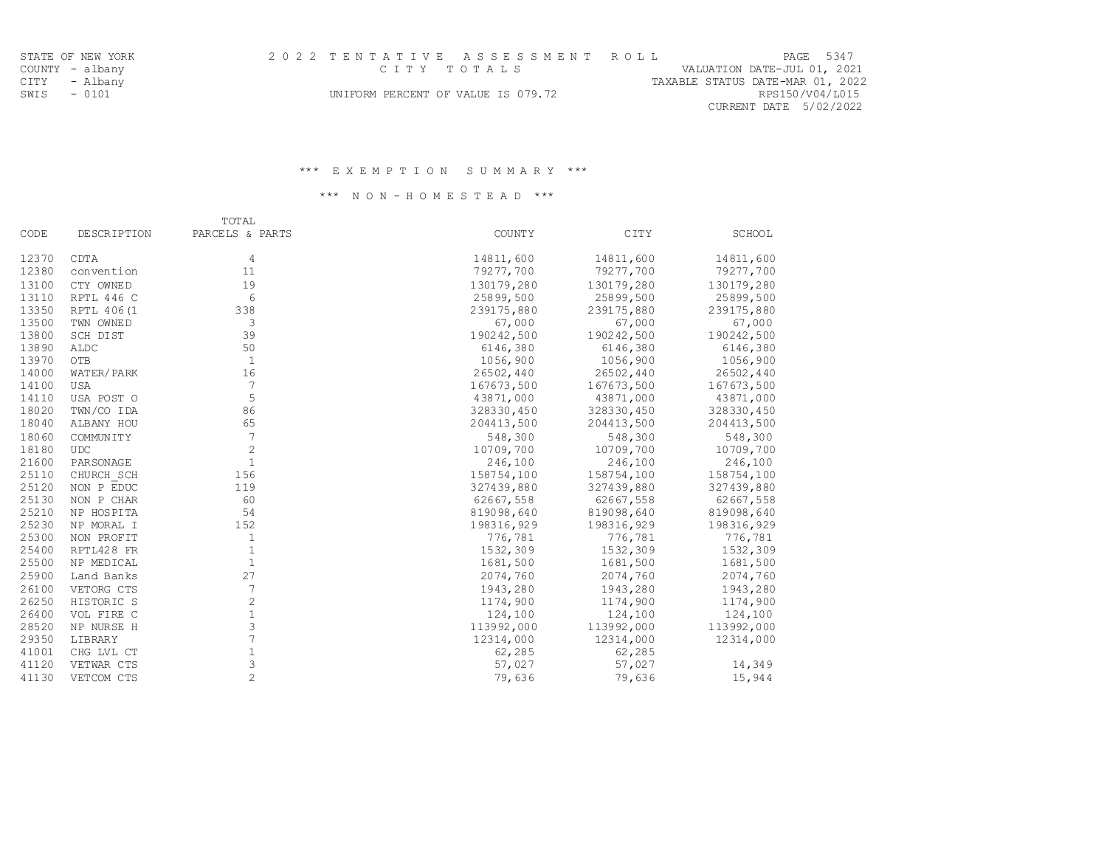| STATE OF NEW YORK | 2022 TENTATIVE ASSESSMENT ROLL     | PAGE 5347                        |
|-------------------|------------------------------------|----------------------------------|
| COUNTY - albany   | CITY TOTALS                        | VALUATION DATE-JUL 01, 2021      |
| CITY - Albany     |                                    | TAXABLE STATUS DATE-MAR 01, 2022 |
| SWIS - 0101       | UNIFORM PERCENT OF VALUE IS 079.72 | RPS150/V04/L015                  |
|                   |                                    | CURRENT DATE 5/02/2022           |

### \*\*\* N O N - H O M E S T E A D \*\*\*

|       |                    | TOTAL                     |            |            |               |
|-------|--------------------|---------------------------|------------|------------|---------------|
| CODE  | <b>DESCRIPTION</b> | PARCELS & PARTS           | COUNTY     | CITY       | <b>SCHOOL</b> |
| 12370 | CDTA               | $\overline{4}$            | 14811,600  | 14811,600  | 14811,600     |
| 12380 | convention         | 11                        | 79277,700  | 79277,700  | 79277,700     |
| 13100 | CTY OWNED          | 19                        | 130179,280 | 130179,280 | 130179,280    |
| 13110 | RPTL 446 C         | 6                         | 25899,500  | 25899,500  | 25899,500     |
| 13350 | RPTL 406 (1        | 338                       | 239175,880 | 239175,880 | 239175,880    |
| 13500 | TWN OWNED          | 3                         | 67,000     | 67,000     | 67,000        |
| 13800 | SCH DIST           | 39                        | 190242,500 | 190242,500 | 190242,500    |
| 13890 | ALDC               | 50                        | 6146,380   | 6146,380   | 6146,380      |
| 13970 | OTB                | $\mathbf{1}$              | 1056,900   | 1056,900   | 1056,900      |
| 14000 | WATER/PARK         | 16                        | 26502,440  | 26502,440  | 26502,440     |
| 14100 | <b>USA</b>         | $7\phantom{.0}$           | 167673,500 | 167673,500 | 167673,500    |
| 14110 | USA POST O         | 5                         | 43871,000  | 43871,000  | 43871,000     |
| 18020 | TWN/CO IDA         | 86                        | 328330,450 | 328330,450 | 328330,450    |
| 18040 | ALBANY HOU         | 65                        | 204413,500 | 204413,500 | 204413,500    |
| 18060 | <b>COMMUNITY</b>   | 7                         | 548,300    | 548,300    | 548,300       |
| 18180 | <b>UDC</b>         | $\overline{2}$            | 10709,700  | 10709,700  | 10709,700     |
| 21600 | PARSONAGE          | $\mathbf{1}$              | 246,100    | 246,100    | 246,100       |
| 25110 | CHURCH SCH         | 156                       | 158754,100 | 158754,100 | 158754,100    |
| 25120 | NON P EDUC         | 119                       | 327439,880 | 327439,880 | 327439,880    |
| 25130 | NON P CHAR         | 60                        | 62667,558  | 62667,558  | 62667,558     |
| 25210 | NP HOSPITA         | 54                        | 819098,640 | 819098,640 | 819098,640    |
| 25230 | NP MORAL I         | 152                       | 198316,929 | 198316,929 | 198316,929    |
| 25300 | NON PROFIT         | $\mathbf{1}$              | 776,781    | 776,781    | 776,781       |
| 25400 | RPTL428 FR         | $\mathbf{1}$              | 1532,309   | 1532,309   | 1532,309      |
| 25500 | NP MEDICAL         | $\mathbf{1}$              | 1681,500   | 1681,500   | 1681,500      |
| 25900 | Land Banks         | 27                        | 2074,760   | 2074,760   | 2074,760      |
| 26100 | VETORG CTS         | $\sqrt{ }$                | 1943,280   | 1943,280   | 1943,280      |
| 26250 | HISTORIC S         | $\mathbf{2}$              | 1174,900   | 1174,900   | 1174,900      |
| 26400 | VOL FIRE C         | $1\,$                     | 124,100    | 124,100    | 124,100       |
| 28520 | NP NURSE H         | $\ensuremath{\mathsf{3}}$ | 113992,000 | 113992,000 | 113992,000    |
| 29350 | LIBRARY            | 7                         | 12314,000  | 12314,000  | 12314,000     |
| 41001 | CHG LVL CT         | $1\,$                     | 62,285     | 62,285     |               |
| 41120 | VETWAR CTS         | 3                         | 57,027     | 57,027     | 14,349        |
| 41130 | VETCOM CTS         | $\overline{c}$            | 79,636     | 79,636     | 15,944        |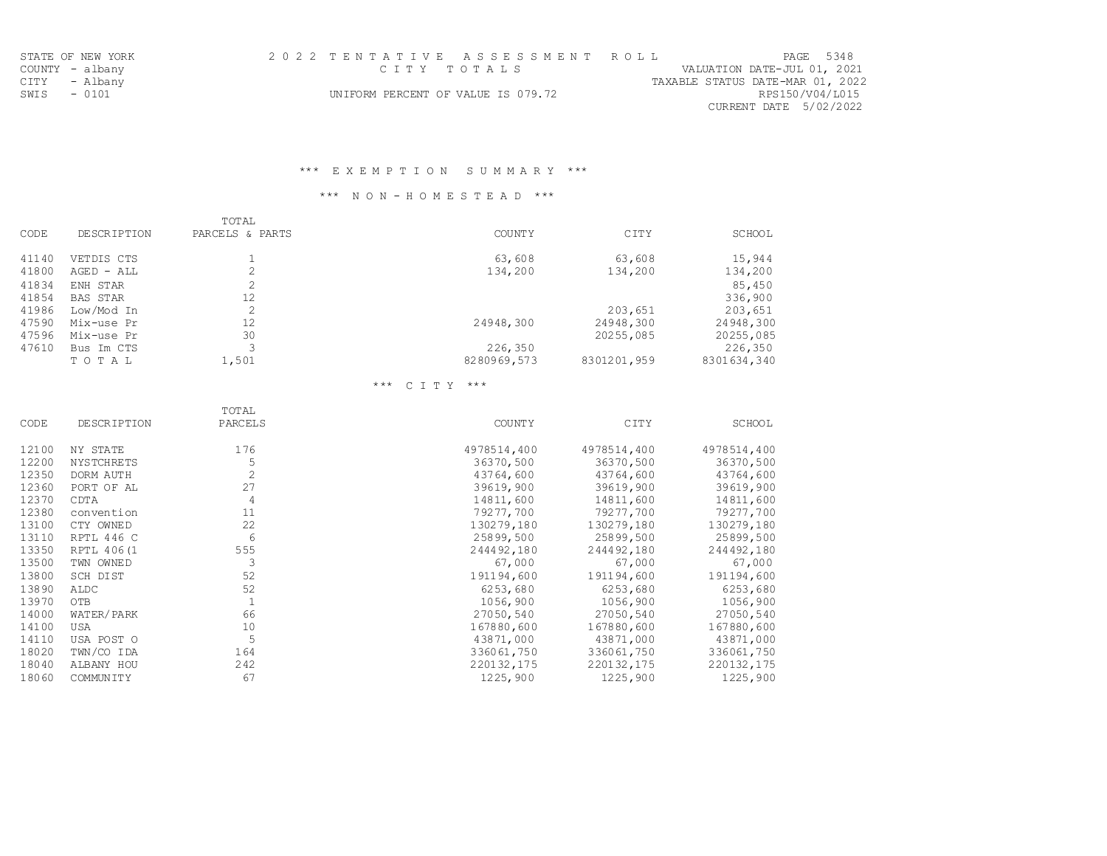| STATE OF NEW YORK | 2022 TENTATIVE ASSESSMENT ROLL     | PAGE 5348                        |
|-------------------|------------------------------------|----------------------------------|
| COUNTY - albany   | стту тотања                        | VALUATION DATE-JUL 01, 2021      |
| CITY - Albany     |                                    | TAXABLE STATUS DATE-MAR 01, 2022 |
| SWIS - 0101       | UNIFORM PERCENT OF VALUE IS 079.72 | RPS150/V04/L015                  |
|                   |                                    | CURRENT DATE 5/02/2022           |

## \*\*\* N O N - H O M E S T E A D \*\*\*

|       |                    | TOTAL           |               |             |             |
|-------|--------------------|-----------------|---------------|-------------|-------------|
| CODE  | <b>DESCRIPTION</b> | PARCELS & PARTS | <b>COUNTY</b> | CITY        | SCHOOL      |
| 41140 | VETDIS CTS         |                 | 63,608        | 63,608      | 15,944      |
| 41800 | $AGED - ALL$       |                 | 134,200       | 134,200     | 134,200     |
| 41834 | ENH STAR           |                 |               |             | 85,450      |
| 41854 | <b>BAS STAR</b>    | 12              |               |             | 336,900     |
| 41986 | Low/Mod In         |                 |               | 203,651     | 203,651     |
| 47590 | Mix-use Pr         | 12              | 24948,300     | 24948,300   | 24948,300   |
| 47596 | Mix-use Pr         | 30              |               | 20255,085   | 20255,085   |
| 47610 | Bus Im CTS         |                 | 226,350       |             | 226,350     |
|       | TOTAL              | 1,501           | 8280969,573   | 8301201,959 | 8301634,340 |

# \*\*\* C I T Y \*\*\*

| DESCRIPTION      | TOTAL<br>PARCELS | <b>COUNTY</b> | CITY        | SCHOOL      |
|------------------|------------------|---------------|-------------|-------------|
| NY STATE         | 176              | 4978514,400   | 4978514,400 | 4978514,400 |
| NYSTCHRETS       | 5                | 36370,500     | 36370,500   | 36370,500   |
| DORM AUTH        | $\mathbf{2}$     | 43764,600     | 43764,600   | 43764,600   |
| PORT OF AL       | 27               | 39619,900     | 39619,900   | 39619,900   |
| CDTA             | $\overline{4}$   | 14811,600     | 14811,600   | 14811,600   |
| convention       | 11               | 79277,700     | 79277,700   | 79277,700   |
| CTY OWNED        | 22               | 130279,180    | 130279,180  | 130279,180  |
| RPTL 446 C       | 6                | 25899,500     | 25899,500   | 25899,500   |
| RPTL 406(1       | 555              | 244492,180    | 244492,180  | 244492,180  |
| TWN OWNED        | 3                | 67,000        | 67,000      | 67,000      |
| SCH DIST         | 52               | 191194,600    | 191194,600  | 191194,600  |
| ALDC             | 52               | 6253,680      | 6253,680    | 6253,680    |
| OTB              | $\mathbf{1}$     | 1056,900      | 1056,900    | 1056,900    |
| WATER/PARK       | 66               | 27050,540     | 27050,540   | 27050,540   |
| <b>USA</b>       | 10               | 167880,600    | 167880,600  | 167880,600  |
| USA POST O       | 5                | 43871,000     | 43871,000   | 43871,000   |
| TWN/CO IDA       | 164              | 336061,750    | 336061,750  | 336061,750  |
| ALBANY HOU       | 242              | 220132,175    | 220132,175  | 220132,175  |
| <b>COMMUNITY</b> | 67               | 1225,900      | 1225,900    | 1225,900    |
|                  |                  |               |             |             |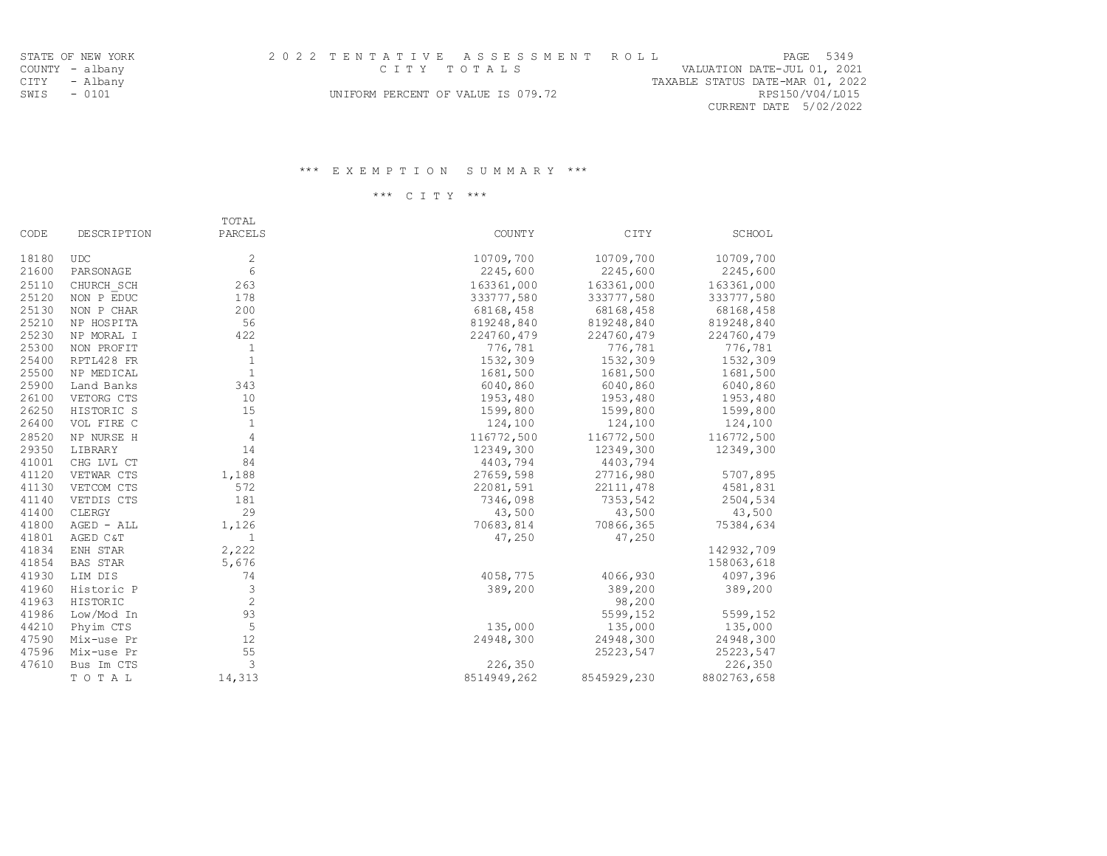| STATE OF NEW YORK | 2022 TENTATIVE ASSESSMENT ROLL     | PAGE 5349                        |
|-------------------|------------------------------------|----------------------------------|
| COUNTY - albany   | CITY TOTALS                        | VALUATION DATE-JUL 01, 2021      |
| CITY - Albany     |                                    | TAXABLE STATUS DATE-MAR 01, 2022 |
| SWIS - 0101       | UNIFORM PERCENT OF VALUE IS 079.72 | RPS150/V04/L015                  |
|                   |                                    | CURRENT DATE 5/02/2022           |

\*\*\* C I T Y \*\*\*

|       |                    | TOTAL                     |               |             |             |
|-------|--------------------|---------------------------|---------------|-------------|-------------|
| CODE  | <b>DESCRIPTION</b> | PARCELS                   | <b>COUNTY</b> | CITY        | SCHOOL      |
| 18180 | <b>UDC</b>         | 2                         | 10709,700     | 10709,700   | 10709,700   |
| 21600 | PARSONAGE          | 6                         | 2245,600      | 2245,600    | 2245,600    |
| 25110 | CHURCH SCH         | 263                       | 163361,000    | 163361,000  | 163361,000  |
| 25120 | NON P EDUC         | 178                       | 333777,580    | 333777,580  | 333777,580  |
| 25130 | NON P CHAR         | 200                       | 68168,458     | 68168,458   | 68168,458   |
| 25210 | NP HOSPITA         | 56                        | 819248,840    | 819248,840  | 819248,840  |
| 25230 | NP MORAL I         | 422                       | 224760,479    | 224760,479  | 224760,479  |
| 25300 | NON PROFIT         | $\mathbf{1}$              | 776,781       | 776,781     | 776,781     |
| 25400 | RPTL428 FR         | $\mathbf{1}$              | 1532,309      | 1532,309    | 1532,309    |
| 25500 | NP MEDICAL         | $\mathbf{1}$              | 1681,500      | 1681,500    | 1681,500    |
| 25900 | Land Banks         | 343                       | 6040,860      | 6040,860    | 6040,860    |
| 26100 | VETORG CTS         | 10                        | 1953, 480     | 1953,480    | 1953,480    |
| 26250 | HISTORIC S         | 15                        | 1599,800      | 1599,800    | 1599,800    |
| 26400 | VOL FIRE C         | 1                         | 124,100       | 124,100     | 124,100     |
| 28520 | NP NURSE H         | $\overline{4}$            | 116772,500    | 116772,500  | 116772,500  |
| 29350 | LIBRARY            | 14                        | 12349,300     | 12349,300   | 12349,300   |
| 41001 | CHG LVL CT         | 84                        | 4403,794      | 4403,794    |             |
| 41120 | VETWAR CTS         | 1,188                     | 27659,598     | 27716,980   | 5707,895    |
| 41130 | VETCOM CTS         | 572                       | 22081,591     | 22111,478   | 4581,831    |
| 41140 | VETDIS CTS         | 181                       | 7346,098      | 7353,542    | 2504,534    |
| 41400 | CLERGY             | 29                        | 43,500        | 43,500      | 43,500      |
| 41800 | AGED - ALL         | 1,126                     | 70683,814     | 70866,365   | 75384,634   |
| 41801 | AGED C&T           | $\mathbf{1}$              | 47,250        | 47,250      |             |
| 41834 | ENH STAR           | 2,222                     |               |             | 142932,709  |
| 41854 | BAS STAR           | 5,676                     |               |             | 158063,618  |
| 41930 | LIM DIS            | 74                        | 4058,775      | 4066,930    | 4097,396    |
| 41960 | Historic P         | $\ensuremath{\mathsf{3}}$ | 389,200       | 389,200     | 389,200     |
| 41963 | HISTORIC           | 2                         |               | 98,200      |             |
| 41986 | Low/Mod In         | 93                        |               | 5599,152    | 5599,152    |
| 44210 | Phyim CTS          | 5                         | 135,000       | 135,000     | 135,000     |
| 47590 | Mix-use Pr         | 12                        | 24948,300     | 24948,300   | 24948,300   |
| 47596 | Mix-use Pr         | 55                        |               | 25223,547   | 25223,547   |
| 47610 | Bus Im CTS         | 3                         | 226,350       |             | 226,350     |
|       | TOTAL              | 14,313                    | 8514949,262   | 8545929,230 | 8802763,658 |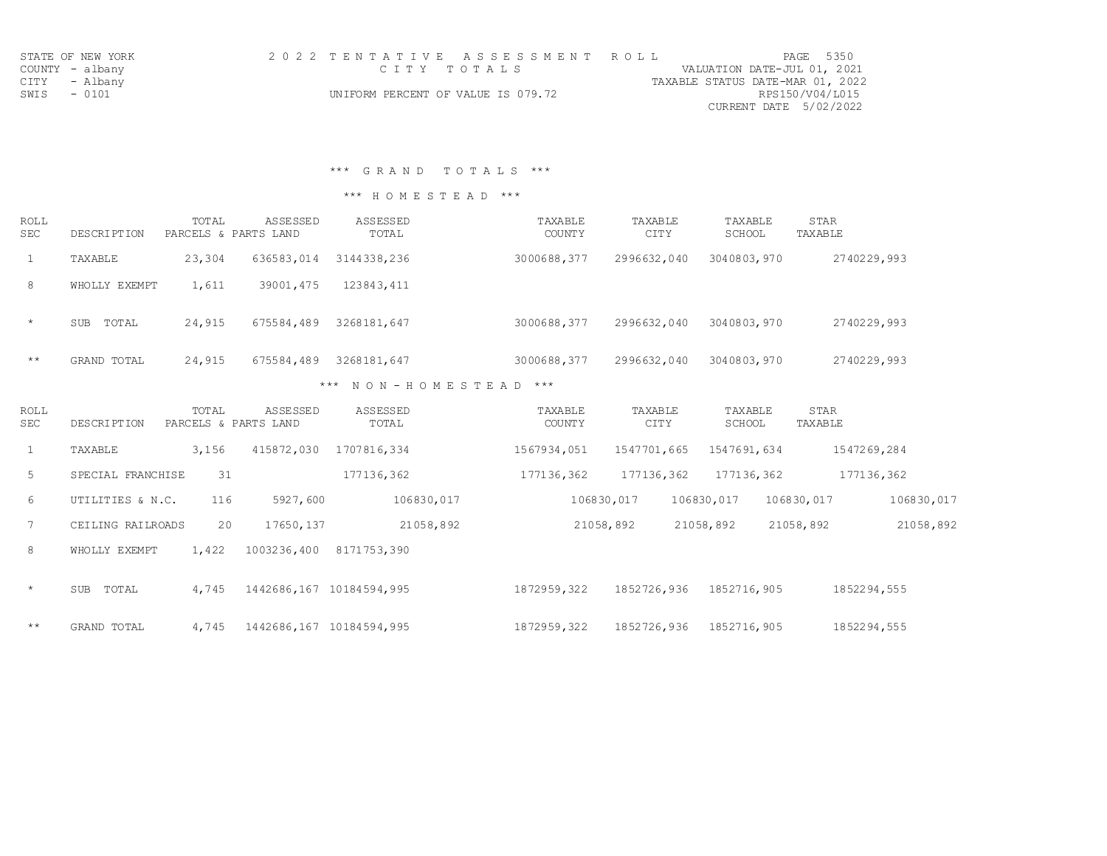|                 | STATE OF NEW YORK |  |                                    |  | 2022 TENTATIVE ASSESSMENT ROLL |                                  |                        | PAGE 5350 |
|-----------------|-------------------|--|------------------------------------|--|--------------------------------|----------------------------------|------------------------|-----------|
| COUNTY - albany |                   |  | стту тотања                        |  |                                | VALUATION DATE-JUL 01, 2021      |                        |           |
| CITY - Albany   |                   |  |                                    |  |                                | TAXABLE STATUS DATE-MAR 01, 2022 |                        |           |
| SWIS - 0101     |                   |  | UNIFORM PERCENT OF VALUE IS 079.72 |  |                                |                                  | RPS150/V04/L015        |           |
|                 |                   |  |                                    |  |                                |                                  | CURRENT DATE 5/02/2022 |           |

\*\*\* G R A N D T O T A L S \*\*\*

## \*\*\* H O M E S T E A D \*\*\*

| ROLL<br>SEC | <b>DESCRIPTION</b>  | TOTAL<br>PARCELS & PARTS LAND | ASSESSED   | ASSESSED<br>TOTAL | TAXABLE<br>COUNTY | TAXABLE<br><b>CITY</b> | TAXABLE<br>SCHOOL | STAR<br>TAXABLE |
|-------------|---------------------|-------------------------------|------------|-------------------|-------------------|------------------------|-------------------|-----------------|
|             | TAXABLE             | 23,304                        | 636583,014 | 3144338,236       | 3000688,377       | 2996632,040            | 3040803,970       | 2740229,993     |
| 8           | WHOLLY EXEMPT       | 1,611                         | 39001,475  | 123843,411        |                   |                        |                   |                 |
| $\star$     | TOTAL<br><b>SUB</b> | 24,915                        | 675584,489 | 3268181,647       | 3000688,377       | 2996632,040            | 3040803,970       | 2740229,993     |

\*\* GRAND TOTAL 24,915 675584,489 3268181,647 3000688,377 2996632,040 3040803,970 2740229,993 \*\*\* N O N - H O M E S T E A D \*\*\*

| ROLL<br><b>SEC</b> | DESCRIPTION         | TOTAL | <b>ASSESSED</b><br>PARCELS & PARTS LAND | ASSESSED<br>TOTAL | TAXABLE<br><b>COUNTY</b> | TAXABLE<br><b>CITY</b> | TAXABLE<br>SCHOOL | STAR<br>TAXABLE |             |
|--------------------|---------------------|-------|-----------------------------------------|-------------------|--------------------------|------------------------|-------------------|-----------------|-------------|
| 1                  | TAXABLE             | 3,156 | 415872,030                              | 1707816,334       | 1567934,051              | 1547701,665            | 1547691,634       |                 | 1547269,284 |
| 5                  | SPECIAL FRANCHISE   | 31    |                                         | 177136,362        | 177136,362               | 177136,362             | 177136,362        |                 | 177136,362  |
| 6                  | UTILITIES & N.C.    | 116   | 5927,600                                | 106830,017        |                          | 106830,017             | 106830,017        | 106830,017      | 106830,017  |
| $7\phantom{.0}$    | CEILING RAILROADS   | 20    | 17650, 137                              | 21058,892         |                          | 21058,892              | 21058,892         | 21058,892       | 21058,892   |
| 8                  | WHOLLY EXEMPT       | 1,422 | 1003236,400                             | 8171753,390       |                          |                        |                   |                 |             |
| $\star$            | TOTAL<br><b>SUB</b> | 4,745 | 1442686,167                             | 10184594,995      | 1872959,322              | 1852726,936            | 1852716,905       |                 | 1852294,555 |
| $\star\star$       | GRAND TOTAL         | 4,745 | 1442686,167                             | 10184594,995      | 1872959,322              | 1852726,936            | 1852716,905       |                 | 1852294,555 |